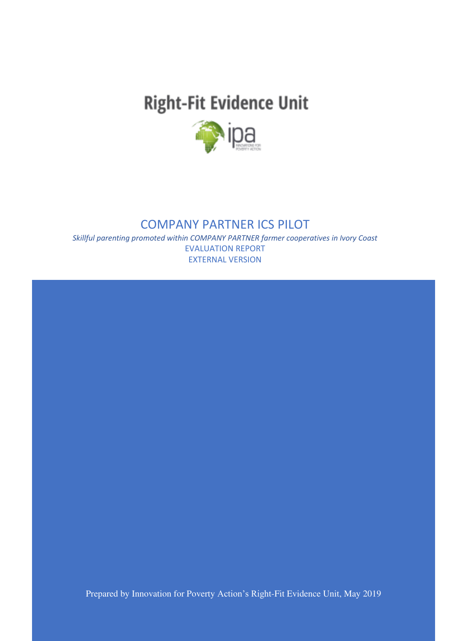# **Right-Fit Evidence Unit**



### COMPANY PARTNER ICS PILOT

*Skillful parenting promoted within COMPANY PARTNER farmer cooperatives in Ivory Coast* EVALUATION REPORT EXTERNAL VERSION

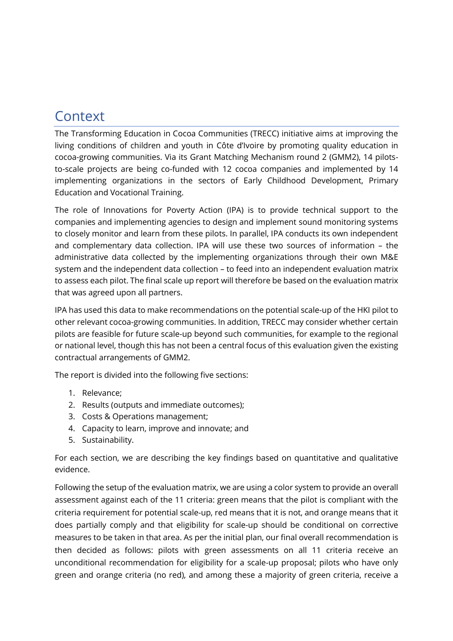## <span id="page-1-0"></span>**Context**

The Transforming Education in Cocoa Communities (TRECC) initiative aims at improving the living conditions of children and youth in Côte d'Ivoire by promoting quality education in cocoa-growing communities. Via its Grant Matching Mechanism round 2 (GMM2), 14 pilotsto-scale projects are being co-funded with 12 cocoa companies and implemented by 14 implementing organizations in the sectors of Early Childhood Development, Primary Education and Vocational Training.

The role of Innovations for Poverty Action (IPA) is to provide technical support to the companies and implementing agencies to design and implement sound monitoring systems to closely monitor and learn from these pilots. In parallel, IPA conducts its own independent and complementary data collection. IPA will use these two sources of information – the administrative data collected by the implementing organizations through their own M&E system and the independent data collection – to feed into an independent evaluation matrix to assess each pilot. The final scale up report will therefore be based on the evaluation matrix that was agreed upon all partners.

IPA has used this data to make recommendations on the potential scale-up of the HKI pilot to other relevant cocoa-growing communities. In addition, TRECC may consider whether certain pilots are feasible for future scale-up beyond such communities, for example to the regional or national level, though this has not been a central focus of this evaluation given the existing contractual arrangements of GMM2.

The report is divided into the following five sections:

- 1. Relevance;
- 2. Results (outputs and immediate outcomes);
- 3. Costs & Operations management;
- 4. Capacity to learn, improve and innovate; and
- 5. Sustainability.

For each section, we are describing the key findings based on quantitative and qualitative evidence.

Following the setup of the evaluation matrix, we are using a color system to provide an overall assessment against each of the 11 criteria: green means that the pilot is compliant with the criteria requirement for potential scale-up, red means that it is not, and orange means that it does partially comply and that eligibility for scale-up should be conditional on corrective measures to be taken in that area. As per the initial plan, our final overall recommendation is then decided as follows: pilots with green assessments on all 11 criteria receive an unconditional recommendation for eligibility for a scale-up proposal; pilots who have only green and orange criteria (no red), and among these a majority of green criteria, receive a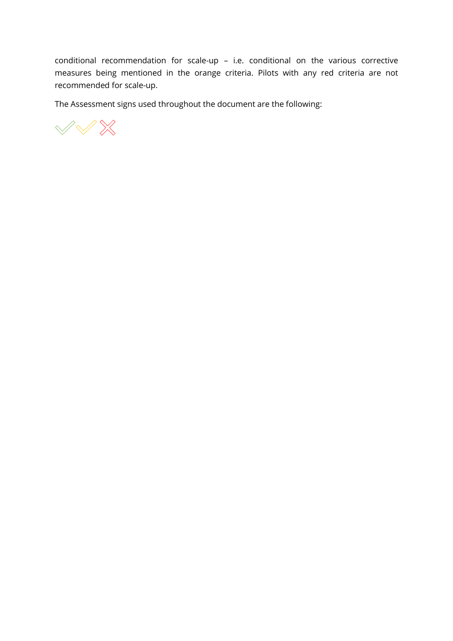conditional recommendation for scale-up – i.e. conditional on the various corrective measures being mentioned in the orange criteria. Pilots with any red criteria are not recommended for scale-up.

The Assessment signs used throughout the document are the following:

 $\mathbb{V} \mathbb{V} \mathbb{X}$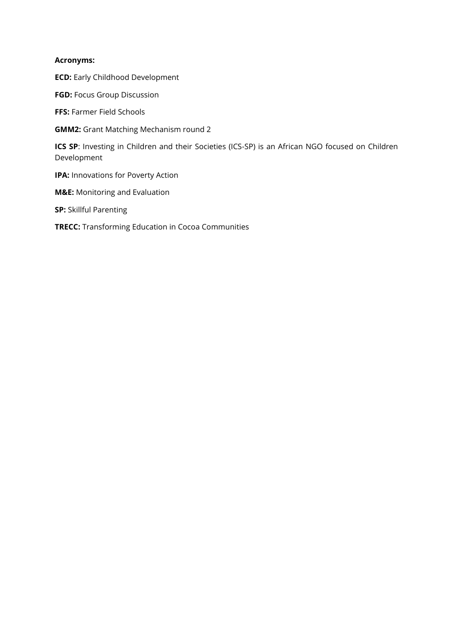#### **Acronyms:**

**ECD:** Early Childhood Development

**FGD:** Focus Group Discussion

**FFS:** Farmer Field Schools

**GMM2:** Grant Matching Mechanism round 2

**ICS SP:** Investing in Children and their Societies (ICS-SP) is an African NGO focused on Children Development

**IPA:** Innovations for Poverty Action

**M&E:** Monitoring and Evaluation

**SP:** Skillful Parenting

**TRECC:** Transforming Education in Cocoa Communities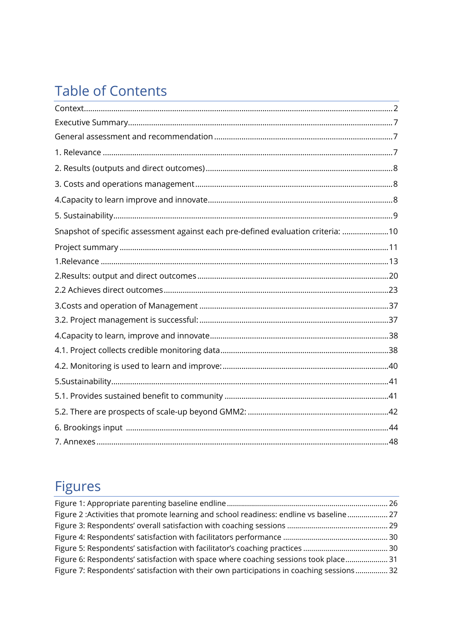# **Table of Contents**

| Snapshot of specific assessment against each pre-defined evaluation criteria: 10 |  |
|----------------------------------------------------------------------------------|--|
|                                                                                  |  |
|                                                                                  |  |
|                                                                                  |  |
|                                                                                  |  |
|                                                                                  |  |
|                                                                                  |  |
|                                                                                  |  |
|                                                                                  |  |
|                                                                                  |  |
|                                                                                  |  |
|                                                                                  |  |
|                                                                                  |  |
|                                                                                  |  |
|                                                                                  |  |

# **Figures**

| Figure 2 : Activities that promote learning and school readiness: endline vs baseline  27 |  |
|-------------------------------------------------------------------------------------------|--|
|                                                                                           |  |
|                                                                                           |  |
|                                                                                           |  |
| Figure 6: Respondents' satisfaction with space where coaching sessions took place 31      |  |
| Figure 7: Respondents' satisfaction with their own participations in coaching sessions 32 |  |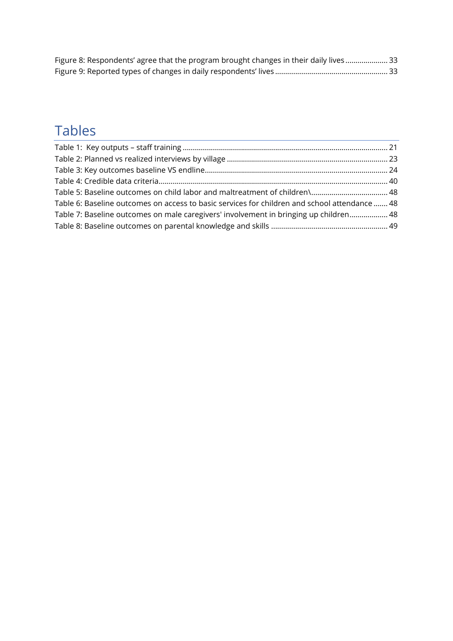| Figure 8: Respondents' agree that the program brought changes in their daily lives 33 |  |
|---------------------------------------------------------------------------------------|--|
|                                                                                       |  |

# Tables

| Table 5: Baseline outcomes on child labor and maltreatment of children\ 48                    |
|-----------------------------------------------------------------------------------------------|
| Table 6: Baseline outcomes on access to basic services for children and school attendance  48 |
| Table 7: Baseline outcomes on male caregivers' involvement in bringing up children 48         |
|                                                                                               |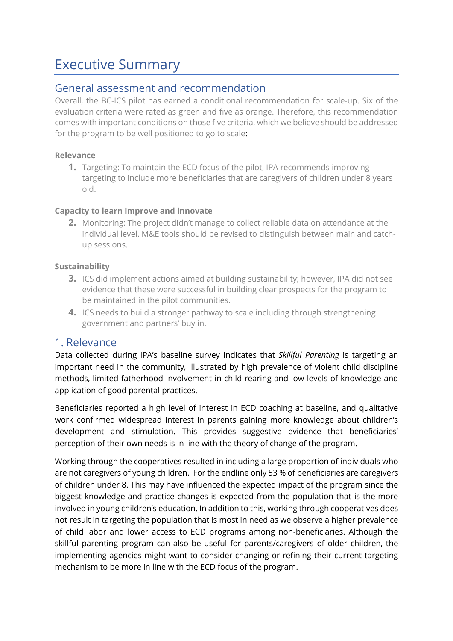## <span id="page-6-0"></span>Executive Summary

### <span id="page-6-1"></span>General assessment and recommendation

Overall, the BC-ICS pilot has earned a conditional recommendation for scale-up. Six of the evaluation criteria were rated as green and five as orange. Therefore, this recommendation comes with important conditions on those five criteria, which we believe should be addressed for the program to be well positioned to go to scale:

### **Relevance**

**1.** Targeting: To maintain the ECD focus of the pilot, IPA recommends improving targeting to include more beneficiaries that are caregivers of children under 8 years old.

### **Capacity to learn improve and innovate**

**2.** Monitoring: The project didn't manage to collect reliable data on attendance at the individual level. M&E tools should be revised to distinguish between main and catchup sessions.

### **Sustainability**

- **3.** ICS did implement actions aimed at building sustainability; however, IPA did not see evidence that these were successful in building clear prospects for the program to be maintained in the pilot communities.
- **4.** ICS needs to build a stronger pathway to scale including through strengthening government and partners' buy in.

### <span id="page-6-2"></span>1. Relevance

Data collected during IPA's baseline survey indicates that *Skillful Parenting* is targeting an important need in the community, illustrated by high prevalence of violent child discipline methods, limited fatherhood involvement in child rearing and low levels of knowledge and application of good parental practices.

Beneficiaries reported a high level of interest in ECD coaching at baseline, and qualitative work confirmed widespread interest in parents gaining more knowledge about children's development and stimulation. This provides suggestive evidence that beneficiaries' perception of their own needs is in line with the theory of change of the program.

Working through the cooperatives resulted in including a large proportion of individuals who are not caregivers of young children. For the endline only 53 % of beneficiaries are caregivers of children under 8. This may have influenced the expected impact of the program since the biggest knowledge and practice changes is expected from the population that is the more involved in young children's education. In addition to this, working through cooperatives does not result in targeting the population that is most in need as we observe a higher prevalence of child labor and lower access to ECD programs among non-beneficiaries. Although the skillful parenting program can also be useful for parents/caregivers of older children, the implementing agencies might want to consider changing or refining their current targeting mechanism to be more in line with the ECD focus of the program.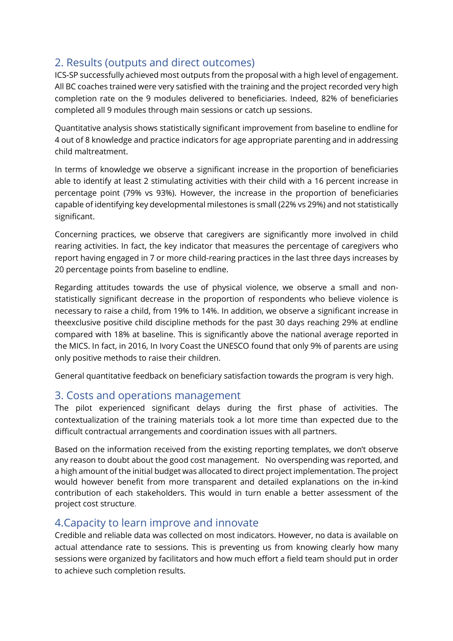### <span id="page-7-0"></span>2. Results (outputs and direct outcomes)

ICS-SP successfully achieved most outputs from the proposal with a high level of engagement. All BC coaches trained were very satisfied with the training and the project recorded very high completion rate on the 9 modules delivered to beneficiaries. Indeed, 82% of beneficiaries completed all 9 modules through main sessions or catch up sessions.

Quantitative analysis shows statistically significant improvement from baseline to endline for 4 out of 8 knowledge and practice indicators for age appropriate parenting and in addressing child maltreatment.

In terms of knowledge we observe a significant increase in the proportion of beneficiaries able to identify at least 2 stimulating activities with their child with a 16 percent increase in percentage point (79% vs 93%). However, the increase in the proportion of beneficiaries capable of identifying key developmental milestones is small (22% vs 29%) and not statistically significant.

Concerning practices, we observe that caregivers are significantly more involved in child rearing activities. In fact, the key indicator that measures the percentage of caregivers who report having engaged in 7 or more child-rearing practices in the last three days increases by 20 percentage points from baseline to endline.

Regarding attitudes towards the use of physical violence, we observe a small and nonstatistically significant decrease in the proportion of respondents who believe violence is necessary to raise a child, from 19% to 14%. In addition, we observe a significant increase in theexclusive positive child discipline methods for the past 30 days reaching 29% at endline compared with 18% at baseline. This is significantly above the national average reported in the MICS. In fact, in 2016, In Ivory Coast the UNESCO found that only 9% of parents are using only positive methods to raise their children.

General quantitative feedback on beneficiary satisfaction towards the program is very high.

### <span id="page-7-1"></span>3. Costs and operations management

The pilot experienced significant delays during the first phase of activities. The contextualization of the training materials took a lot more time than expected due to the difficult contractual arrangements and coordination issues with all partners.

Based on the information received from the existing reporting templates, we don't observe any reason to doubt about the good cost management. No overspending was reported, and a high amount of the initial budget was allocated to direct project implementation. The project would however benefit from more transparent and detailed explanations on the in-kind contribution of each stakeholders. This would in turn enable a better assessment of the project cost structure.

### <span id="page-7-2"></span>4.Capacity to learn improve and innovate

Credible and reliable data was collected on most indicators. However, no data is available on actual attendance rate to sessions. This is preventing us from knowing clearly how many sessions were organized by facilitators and how much effort a field team should put in order to achieve such completion results.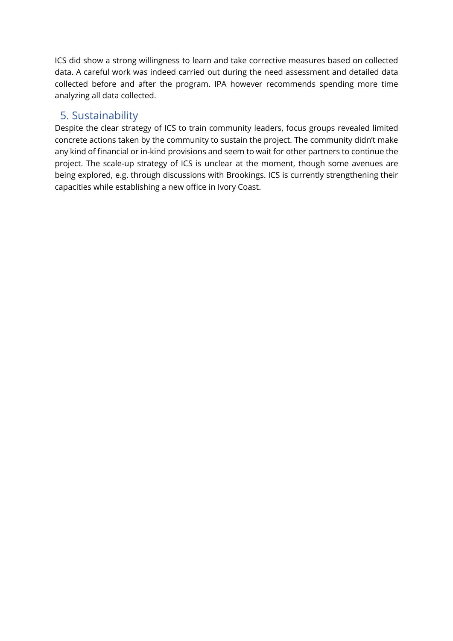ICS did show a strong willingness to learn and take corrective measures based on collected data. A careful work was indeed carried out during the need assessment and detailed data collected before and after the program. IPA however recommends spending more time analyzing all data collected.

### <span id="page-8-0"></span>5. Sustainability

Despite the clear strategy of ICS to train community leaders, focus groups revealed limited concrete actions taken by the community to sustain the project. The community didn't make any kind of financial or in-kind provisions and seem to wait for other partners to continue the project. The scale-up strategy of ICS is unclear at the moment, though some avenues are being explored, e.g. through discussions with Brookings. ICS is currently strengthening their capacities while establishing a new office in Ivory Coast.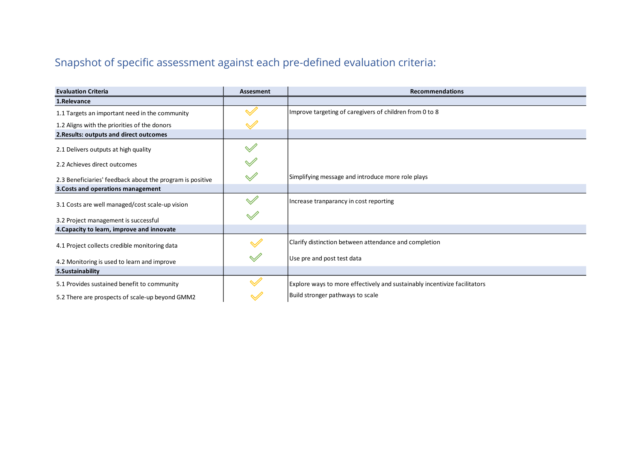## Snapshot of specific assessment against each pre-defined evaluation criteria:

<span id="page-9-0"></span>

| <b>Evaluation Criteria</b>                                | Assesment               | <b>Recommendations</b>                                                    |
|-----------------------------------------------------------|-------------------------|---------------------------------------------------------------------------|
| 1.Relevance                                               |                         |                                                                           |
| 1.1 Targets an important need in the community            |                         | Improve targeting of caregivers of children from 0 to 8                   |
| 1.2 Aligns with the priorities of the donors              |                         |                                                                           |
| 2. Results: outputs and direct outcomes                   |                         |                                                                           |
| 2.1 Delivers outputs at high quality                      | $\mathscr A$            |                                                                           |
| 2.2 Achieves direct outcomes                              |                         |                                                                           |
| 2.3 Beneficiaries' feedback about the program is positive |                         | Simplifying message and introduce more role plays                         |
| 3. Costs and operations management                        |                         |                                                                           |
| 3.1 Costs are well managed/cost scale-up vision           | $\mathscr A$            | Increase tranparancy in cost reporting                                    |
| 3.2 Project management is successful                      |                         |                                                                           |
| 4. Capacity to learn, improve and innovate                |                         |                                                                           |
| 4.1 Project collects credible monitoring data             |                         | Clarify distinction between attendance and completion                     |
| 4.2 Monitoring is used to learn and improve               | $\mathscr{A}$           | Use pre and post test data                                                |
| 5. Sustainability                                         |                         |                                                                           |
| 5.1 Provides sustained benefit to community               | $\mathrel{\mathscr{A}}$ | Explore ways to more effectively and sustainably incentivize facilitators |
| 5.2 There are prospects of scale-up beyond GMM2           | $\checkmark$            | Build stronger pathways to scale                                          |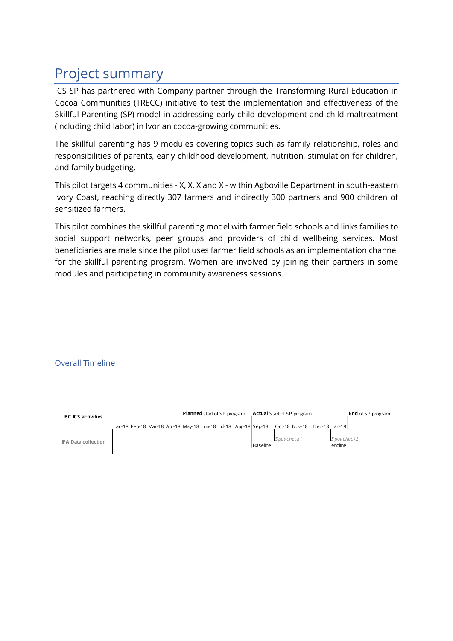# <span id="page-10-0"></span>Project summary

ICS SP has partnered with Company partner through the Transforming Rural Education in Cocoa Communities (TRECC) initiative to test the implementation and effectiveness of the Skillful Parenting (SP) model in addressing early child development and child maltreatment (including child labor) in Ivorian cocoa-growing communities.

The skillful parenting has 9 modules covering topics such as family relationship, roles and responsibilities of parents, early childhood development, nutrition, stimulation for children, and family budgeting.

This pilot targets 4 communities - X, X, X and X - within Agboville Department in south-eastern Ivory Coast, reaching directly 307 farmers and indirectly 300 partners and 900 children of sensitized farmers.

This pilot combines the skillful parenting model with farmer field schools and links families to social support networks, peer groups and providers of child wellbeing services. Most beneficiaries are male since the pilot uses farmer field schools as an implementation channel for the skillful parenting program. Women are involved by joining their partners in some modules and participating in community awareness sessions.

### Overall Timeline

| <b>BC ICS activities</b>   |                                                                          | <b>Planned</b> start of SP program |  |  | <b>Actual</b> Start of SP program |  |           |                             | <b>End</b> of SP program |                        |  |  |
|----------------------------|--------------------------------------------------------------------------|------------------------------------|--|--|-----------------------------------|--|-----------|-----------------------------|--------------------------|------------------------|--|--|
|                            | <u>1 an-18 Feb-18 Mar-18 Apr-18 May-18   un-18   ul-18 Aug-18 Sep-18</u> |                                    |  |  |                                   |  |           | Oct-18 Nov-18 Dec-18 Lan-19 |                          |                        |  |  |
| <b>IPA Data collection</b> |                                                                          |                                    |  |  |                                   |  | lBaseline | Spot-check1                 |                          | Spot-check2<br>endline |  |  |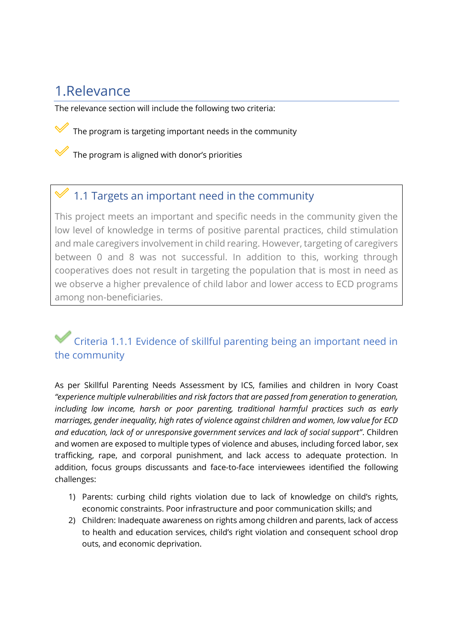## <span id="page-12-0"></span>1.Relevance

The relevance section will include the following two criteria:

The program is targeting important needs in the community

The program is aligned with donor's priorities

### 1.1 Targets an important need in the community

This project meets an important and specific needs in the community given the low level of knowledge in terms of positive parental practices, child stimulation and male caregivers involvement in child rearing. However, targeting of caregivers between 0 and 8 was not successful. In addition to this, working through cooperatives does not result in targeting the population that is most in need as we observe a higher prevalence of child labor and lower access to ECD programs among non-beneficiaries.

### Criteria 1.1.1 Evidence of skillful parenting being an important need in the community

As per Skillful Parenting Needs Assessment by ICS, families and children in Ivory Coast *"experience multiple vulnerabilities and risk factors that are passed from generation to generation, including low income, harsh or poor parenting, traditional harmful practices such as early marriages, gender inequality, high rates of violence against children and women, low value for ECD and education, lack of or unresponsive government services and lack of social support"*. Children and women are exposed to multiple types of violence and abuses, including forced labor, sex trafficking, rape, and corporal punishment, and lack access to adequate protection. In addition, focus groups discussants and face-to-face interviewees identified the following challenges:

- 1) Parents: curbing child rights violation due to lack of knowledge on child's rights, economic constraints. Poor infrastructure and poor communication skills; and
- 2) Children: Inadequate awareness on rights among children and parents, lack of access to health and education services, child's right violation and consequent school drop outs, and economic deprivation.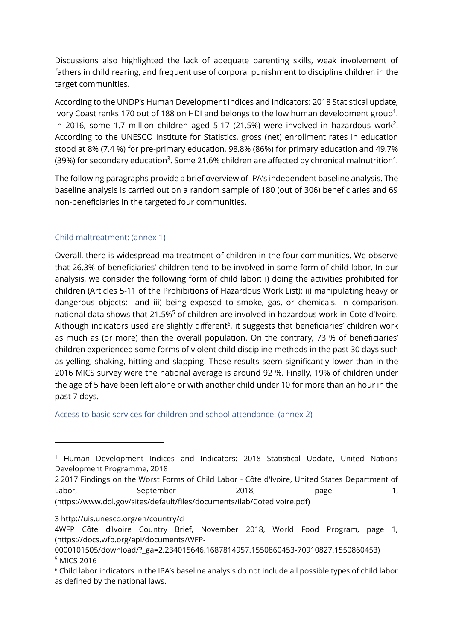Discussions also highlighted the lack of adequate parenting skills, weak involvement of fathers in child rearing, and frequent use of corporal punishment to discipline children in the target communities.

According to the UNDP's Human Development Indices and Indicators: 2018 Statistical update, Ivory Coast ranks 170 out of 188 on HDI and belongs to the low human development group<sup>1</sup>. In 2016, some 1.7 million children aged 5-17 (21.5%) were involved in hazardous work<sup>2</sup>. According to the UNESCO Institute for Statistics, gross (net) enrollment rates in education stood at 8% (7.4 %) for pre-primary education, 98.8% (86%) for primary education and 49.7% (39%) for secondary education<sup>3</sup>. Some 21.6% children are affected by chronical malnutrition<sup>4</sup>.

The following paragraphs provide a brief overview of IPA's independent baseline analysis. The baseline analysis is carried out on a random sample of 180 (out of 306) beneficiaries and 69 non-beneficiaries in the targeted four communities.

### Child maltreatment: (annex 1)

Overall, there is widespread maltreatment of children in the four communities. We observe that 26.3% of beneficiaries' children tend to be involved in some form of child labor. In our analysis, we consider the following form of child labor: i) doing the activities prohibited for children (Articles 5-11 of the Prohibitions of Hazardous Work List); ii) manipulating heavy or dangerous objects; and iii) being exposed to smoke, gas, or chemicals. In comparison, national data shows that 21.5%<sup>5</sup> of children are involved in hazardous work in Cote d'Ivoire. Although indicators used are slightly different<sup>6</sup>, it suggests that beneficiaries' children work as much as (or more) than the overall population. On the contrary, 73 % of beneficiaries' children experienced some forms of violent child discipline methods in the past 30 days such as yelling, shaking, hitting and slapping. These results seem significantly lower than in the 2016 MICS survey were the national average is around 92 %. Finally, 19% of children under the age of 5 have been left alone or with another child under 10 for more than an hour in the past 7 days.

Access to basic services for children and school attendance: (annex 2)

<sup>1</sup> Human Development Indices and Indicators: 2018 Statistical Update, United Nations Development Programme, 2018

<sup>2</sup> [2017 Findings on the Worst Forms of Child Labor - Côte d'Ivoire,](https://www.refworld.org/publisher,USDOL,,,5bd05abb15,0.html) United States Department of Labor, September 2018, page 1, (https://www.dol.gov/sites/default/files/documents/ilab/CotedIvoire.pdf)

<sup>3</sup> http://uis.unesco.org/en/country/ci

<sup>4</sup>WFP Côte d'Ivoire Country Brief, November 2018, World Food Program, page 1, (https://docs.wfp.org/api/documents/WFP-

<sup>0000101505/</sup>download/?\_ga=2.234015646.1687814957.1550860453-70910827.1550860453) 5 MICS 2016

<sup>6</sup> Child labor indicators in the IPA's baseline analysis do not include all possible types of child labor as defined by the national laws.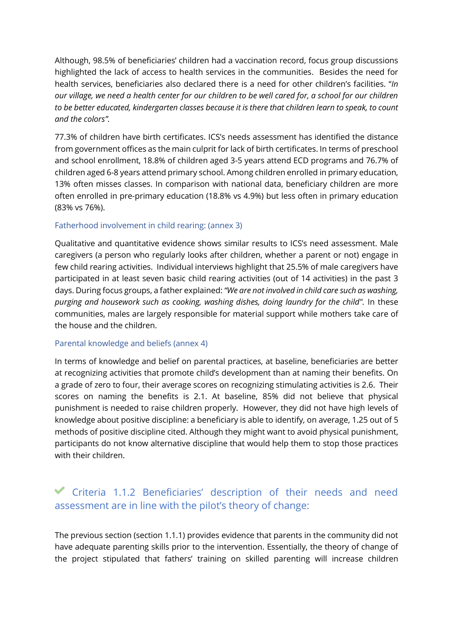Although, 98.5% of beneficiaries' children had a vaccination record, focus group discussions highlighted the lack of access to health services in the communities. Besides the need for health services, beneficiaries also declared there is a need for other children's facilities. "*In our village, we need a health center for our children to be well cared for, a school for our children to be better educated, kindergarten classes because it is there that children learn to speak, to count and the colors".*

77.3% of children have birth certificates. ICS's needs assessment has identified the distance from government offices as the main culprit for lack of birth certificates. In terms of preschool and school enrollment, 18.8% of children aged 3-5 years attend ECD programs and 76.7% of children aged 6-8 years attend primary school. Among children enrolled in primary education, 13% often misses classes. In comparison with national data, beneficiary children are more often enrolled in pre-primary education (18.8% vs 4.9%) but less often in primary education (83% vs 76%).

### Fatherhood involvement in child rearing: (annex 3)

Qualitative and quantitative evidence shows similar results to ICS's need assessment. Male caregivers (a person who regularly looks after children, whether a parent or not) engage in few child rearing activities. Individual interviews highlight that 25.5% of male caregivers have participated in at least seven basic child rearing activities (out of 14 activities) in the past 3 days. During focus groups, a father explained: *"We are not involved in child care such as washing, purging and housework such as cooking, washing dishes, doing laundry for the child".* In these communities, males are largely responsible for material support while mothers take care of the house and the children.

### Parental knowledge and beliefs (annex 4)

In terms of knowledge and belief on parental practices, at baseline, beneficiaries are better at recognizing activities that promote child's development than at naming their benefits. On a grade of zero to four, their average scores on recognizing stimulating activities is 2.6. Their scores on naming the benefits is 2.1. At baseline, 85% did not believe that physical punishment is needed to raise children properly. However, they did not have high levels of knowledge about positive discipline: a beneficiary is able to identify, on average, 1.25 out of 5 methods of positive discipline cited. Although they might want to avoid physical punishment, participants do not know alternative discipline that would help them to stop those practices with their children.

### Criteria 1.1.2 Beneficiaries' description of their needs and need assessment are in line with the pilot's theory of change:

The previous section (section 1.1.1) provides evidence that parents in the community did not have adequate parenting skills prior to the intervention. Essentially, the theory of change of the project stipulated that fathers' training on skilled parenting will increase children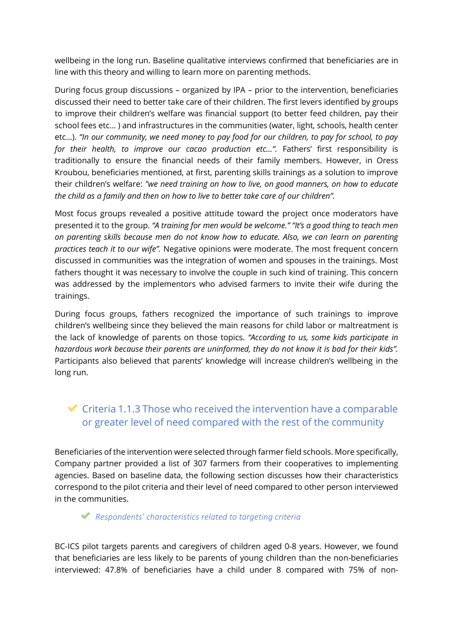wellbeing in the long run. Baseline qualitative interviews confirmed that beneficiaries are in line with this theory and willing to learn more on parenting methods.

During focus group discussions – organized by IPA – prior to the intervention, beneficiaries discussed their need to better take care of their children. The first levers identified by groups to improve their children's welfare was financial support (to better feed children, pay their school fees etc... ) and infrastructures in the communities (water, light, schools, health center etc…). *"In our community, we need money to pay food for our children, to pay for school, to pay for their health, to improve our cacao production etc…".* Fathers' first responsibility is traditionally to ensure the financial needs of their family members. However, in Oress Kroubou, beneficiaries mentioned, at first, parenting skills trainings as a solution to improve their children's welfare: *"we need training on how to live, on good manners, on how to educate the child as a family and then on how to live to better take care of our children".*

Most focus groups revealed a positive attitude toward the project once moderators have presented it to the group. *"A training for men would be welcome." "It's a good thing to teach men on parenting skills because men do not know how to educate. Also, we can learn on parenting practices teach it to our wife".* Negative opinions were moderate. The most frequent concern discussed in communities was the integration of women and spouses in the trainings. Most fathers thought it was necessary to involve the couple in such kind of training. This concern was addressed by the implementors who advised farmers to invite their wife during the trainings.

During focus groups, fathers recognized the importance of such trainings to improve children's wellbeing since they believed the main reasons for child labor or maltreatment is the lack of knowledge of parents on those topics. *"According to us, some kids participate in hazardous work because their parents are uninformed, they do not know it is bad for their kids".*  Participants also believed that parents' knowledge will increase children's wellbeing in the long run.

### $\blacktriangleright$  Criteria 1.1.3 Those who received the intervention have a comparable or greater level of need compared with the rest of the community

Beneficiaries of the intervention were selected through farmer field schools. More specifically, Company partner provided a list of 307 farmers from their cooperatives to implementing agencies. Based on baseline data, the following section discusses how their characteristics correspond to the pilot criteria and their level of need compared to other person interviewed in the communities.

### *Respondents' characteristics related to targeting criteria*

BC-ICS pilot targets parents and caregivers of children aged 0-8 years. However, we found that beneficiaries are less likely to be parents of young children than the non-beneficiaries interviewed: 47.8% of beneficiaries have a child under 8 compared with 75% of non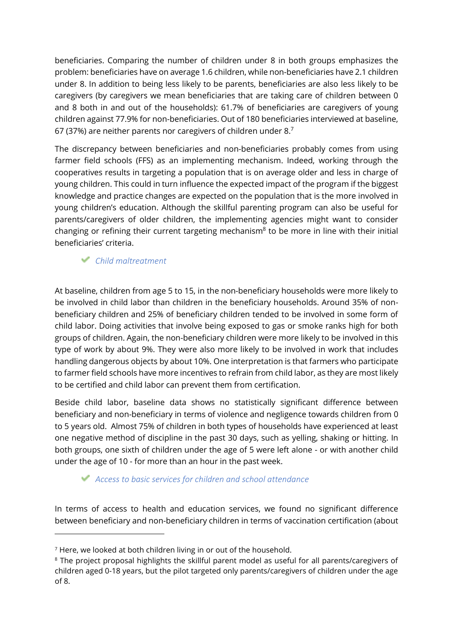beneficiaries. Comparing the number of children under 8 in both groups emphasizes the problem: beneficiaries have on average 1.6 children, while non-beneficiaries have 2.1 children under 8. In addition to being less likely to be parents, beneficiaries are also less likely to be caregivers (by caregivers we mean beneficiaries that are taking care of children between 0 and 8 both in and out of the households): 61.7% of beneficiaries are caregivers of young children against 77.9% for non-beneficiaries. Out of 180 beneficiaries interviewed at baseline, 67 (37%) are neither parents nor caregivers of children under 8.<sup>7</sup>

The discrepancy between beneficiaries and non-beneficiaries probably comes from using farmer field schools (FFS) as an implementing mechanism. Indeed, working through the cooperatives results in targeting a population that is on average older and less in charge of young children. This could in turn influence the expected impact of the program if the biggest knowledge and practice changes are expected on the population that is the more involved in young children's education. Although the skillful parenting program can also be useful for parents/caregivers of older children, the implementing agencies might want to consider changing or refining their current targeting mechanism<sup>8</sup> to be more in line with their initial beneficiaries' criteria.

*Child maltreatment* 

At baseline, children from age 5 to 15, in the non-beneficiary households were more likely to be involved in child labor than children in the beneficiary households. Around 35% of nonbeneficiary children and 25% of beneficiary children tended to be involved in some form of child labor. Doing activities that involve being exposed to gas or smoke ranks high for both groups of children. Again, the non-beneficiary children were more likely to be involved in this type of work by about 9%. They were also more likely to be involved in work that includes handling dangerous objects by about 10%. One interpretation is that farmers who participate to farmer field schools have more incentives to refrain from child labor, as they are most likely to be certified and child labor can prevent them from certification.

Beside child labor, baseline data shows no statistically significant difference between beneficiary and non-beneficiary in terms of violence and negligence towards children from 0 to 5 years old. Almost 75% of children in both types of households have experienced at least one negative method of discipline in the past 30 days, such as yelling, shaking or hitting. In both groups, one sixth of children under the age of 5 were left alone - or with another child under the age of 10 - for more than an hour in the past week.

### *Access to basic services for children and school attendance*

In terms of access to health and education services, we found no significant difference between beneficiary and non-beneficiary children in terms of vaccination certification (about

<sup>7</sup> Here, we looked at both children living in or out of the household.

 $^{\rm 8}$  The project proposal highlights the skillful parent model as useful for all parents/caregivers of children aged 0-18 years, but the pilot targeted only parents/caregivers of children under the age of 8.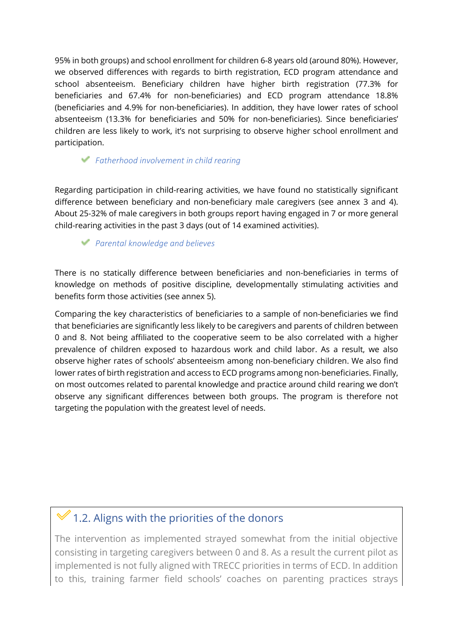95% in both groups) and school enrollment for children 6-8 years old (around 80%). However, we observed differences with regards to birth registration, ECD program attendance and school absenteeism. Beneficiary children have higher birth registration (77.3% for beneficiaries and 67.4% for non-beneficiaries) and ECD program attendance 18.8% (beneficiaries and 4.9% for non-beneficiaries). In addition, they have lower rates of school absenteeism (13.3% for beneficiaries and 50% for non-beneficiaries). Since beneficiaries' children are less likely to work, it's not surprising to observe higher school enrollment and participation.

### *Fatherhood involvement in child rearing*

Regarding participation in child-rearing activities, we have found no statistically significant difference between beneficiary and non-beneficiary male caregivers (see annex 3 and 4). About 25-32% of male caregivers in both groups report having engaged in 7 or more general child-rearing activities in the past 3 days (out of 14 examined activities).

### *Parental knowledge and believes*

There is no statically difference between beneficiaries and non-beneficiaries in terms of knowledge on methods of positive discipline, developmentally stimulating activities and benefits form those activities (see annex 5).

Comparing the key characteristics of beneficiaries to a sample of non-beneficiaries we find that beneficiaries are significantly less likely to be caregivers and parents of children between 0 and 8. Not being affiliated to the cooperative seem to be also correlated with a higher prevalence of children exposed to hazardous work and child labor. As a result, we also observe higher rates of schools' absenteeism among non-beneficiary children. We also find lower rates of birth registration and access to ECD programs among non-beneficiaries. Finally, on most outcomes related to parental knowledge and practice around child rearing we don't observe any significant differences between both groups. The program is therefore not targeting the population with the greatest level of needs.

### 1.2. Aligns with the priorities of the donors

The intervention as implemented strayed somewhat from the initial objective consisting in targeting caregivers between 0 and 8. As a result the current pilot as implemented is not fully aligned with TRECC priorities in terms of ECD. In addition to this, training farmer field schools' coaches on parenting practices strays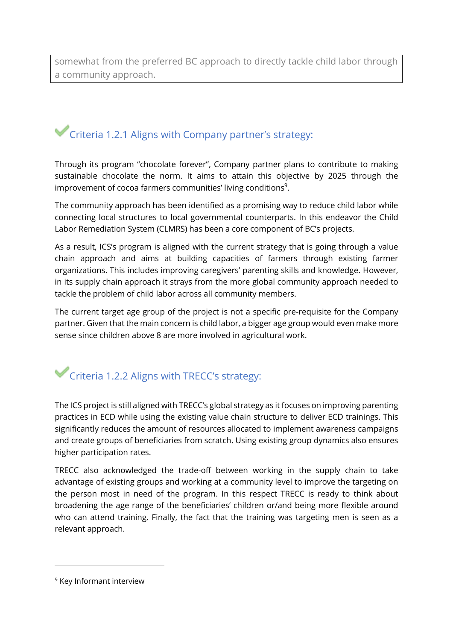somewhat from the preferred BC approach to directly tackle child labor through a community approach.

## Criteria 1.2.1 Aligns with Company partner's strategy:

Through its program "chocolate forever", Company partner plans to contribute to making sustainable chocolate the norm. It aims to attain this objective by 2025 through the improvement of cocoa farmers communities' living conditions<sup>9</sup>.

The community approach has been identified as a promising way to reduce child labor while connecting local structures to local governmental counterparts. In this endeavor the Child Labor Remediation System (CLMRS) has been a core component of BC's projects.

As a result, ICS's program is aligned with the current strategy that is going through a value chain approach and aims at building capacities of farmers through existing farmer organizations. This includes improving caregivers' parenting skills and knowledge. However, in its supply chain approach it strays from the more global community approach needed to tackle the problem of child labor across all community members.

The current target age group of the project is not a specific pre-requisite for the Company partner. Given that the main concern is child labor, a bigger age group would even make more sense since children above 8 are more involved in agricultural work.

# Criteria 1.2.2 Aligns with TRECC's strategy:

The ICS project is still aligned with TRECC's global strategy as it focuses on improving parenting practices in ECD while using the existing value chain structure to deliver ECD trainings. This significantly reduces the amount of resources allocated to implement awareness campaigns and create groups of beneficiaries from scratch. Using existing group dynamics also ensures higher participation rates.

TRECC also acknowledged the trade-off between working in the supply chain to take advantage of existing groups and working at a community level to improve the targeting on the person most in need of the program. In this respect TRECC is ready to think about broadening the age range of the beneficiaries' children or/and being more flexible around who can attend training. Finally, the fact that the training was targeting men is seen as a relevant approach.

<sup>9</sup> Key Informant interview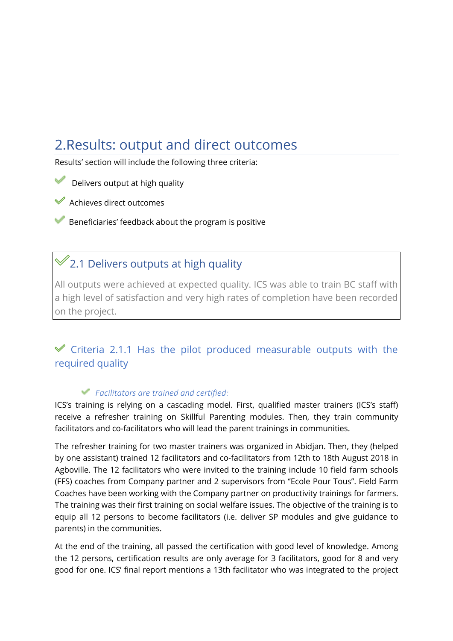## <span id="page-19-0"></span>2.Results: output and direct outcomes

Results' section will include the following three criteria:

- Delivers output at high quality
- Achieves direct outcomes
- Beneficiaries' feedback about the program is positive

### $\mathcal{L}_{2.1}$  Delivers outputs at high quality

All outputs were achieved at expected quality. ICS was able to train BC staff with a high level of satisfaction and very high rates of completion have been recorded on the project.

### $\mathscr V$  Criteria 2.1.1 Has the pilot produced measurable outputs with the required quality

### *Facilitators are trained and certified:*

ICS's training is relying on a cascading model. First, qualified master trainers (ICS's staff) receive a refresher training on Skillful Parenting modules. Then, they train community facilitators and co-facilitators who will lead the parent trainings in communities.

The refresher training for two master trainers was organized in Abidjan. Then, they (helped by one assistant) trained 12 facilitators and co-facilitators from 12th to 18th August 2018 in Agboville. The 12 facilitators who were invited to the training include 10 field farm schools (FFS) coaches from Company partner and 2 supervisors from ''Ecole Pour Tous''. Field Farm Coaches have been working with the Company partner on productivity trainings for farmers. The training was their first training on social welfare issues. The objective of the training is to equip all 12 persons to become facilitators (i.e. deliver SP modules and give guidance to parents) in the communities.

At the end of the training, all passed the certification with good level of knowledge. Among the 12 persons, certification results are only average for 3 facilitators, good for 8 and very good for one. ICS' final report mentions a 13th facilitator who was integrated to the project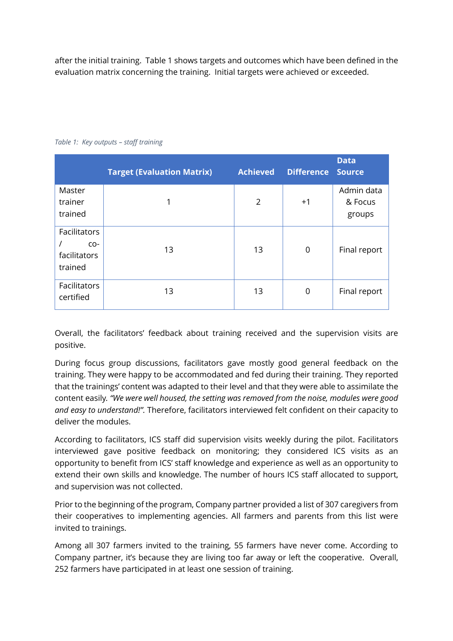after the initial training. Table 1 shows targets and outcomes which have been defined in the evaluation matrix concerning the training. Initial targets were achieved or exceeded.

|                                                  | <b>Target (Evaluation Matrix)</b> | <b>Achieved</b> | <b>Difference</b> | <b>Data</b><br><b>Source</b>    |
|--------------------------------------------------|-----------------------------------|-----------------|-------------------|---------------------------------|
| Master<br>trainer<br>trained                     | 1                                 | $\overline{2}$  | $+1$              | Admin data<br>& Focus<br>groups |
| Facilitators<br>$CO-$<br>facilitators<br>trained | 13                                | 13              | $\mathbf 0$       | Final report                    |
| Facilitators<br>certified                        | 13                                | 13              | 0                 | Final report                    |

<span id="page-20-0"></span>*Table 1: Key outputs – staff training* 

Overall, the facilitators' feedback about training received and the supervision visits are positive.

During focus group discussions, facilitators gave mostly good general feedback on the training. They were happy to be accommodated and fed during their training. They reported that the trainings' content was adapted to their level and that they were able to assimilate the content easily*. "We were well housed, the setting was removed from the noise, modules were good and easy to understand!".* Therefore, facilitators interviewed felt confident on their capacity to deliver the modules.

According to facilitators, ICS staff did supervision visits weekly during the pilot. Facilitators interviewed gave positive feedback on monitoring; they considered ICS visits as an opportunity to benefit from ICS' staff knowledge and experience as well as an opportunity to extend their own skills and knowledge. The number of hours ICS staff allocated to support, and supervision was not collected.

Prior to the beginning of the program, Company partner provided a list of 307 caregivers from their cooperatives to implementing agencies. All farmers and parents from this list were invited to trainings.

Among all 307 farmers invited to the training, 55 farmers have never come. According to Company partner, it's because they are living too far away or left the cooperative. Overall, 252 farmers have participated in at least one session of training.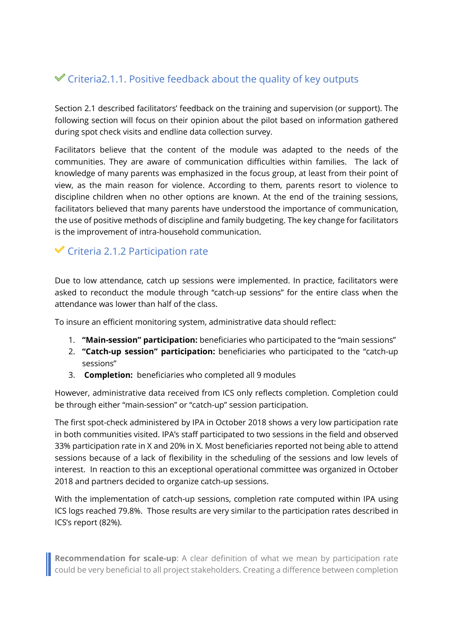### $\mathcal Y$  Criteria2.1.1. Positive feedback about the quality of key outputs

Section 2.1 described facilitators' feedback on the training and supervision (or support). The following section will focus on their opinion about the pilot based on information gathered during spot check visits and endline data collection survey.

Facilitators believe that the content of the module was adapted to the needs of the communities. They are aware of communication difficulties within families. The lack of knowledge of many parents was emphasized in the focus group, at least from their point of view, as the main reason for violence. According to them, parents resort to violence to discipline children when no other options are known. At the end of the training sessions, facilitators believed that many parents have understood the importance of communication, the use of positive methods of discipline and family budgeting. The key change for facilitators is the improvement of intra-household communication.

### $\checkmark$  Criteria 2.1.2 Participation rate

Due to low attendance, catch up sessions were implemented. In practice, facilitators were asked to reconduct the module through "catch-up sessions" for the entire class when the attendance was lower than half of the class.

To insure an efficient monitoring system, administrative data should reflect:

- 1. **"Main-session" participation:** beneficiaries who participated to the "main sessions"
- 2. **"Catch-up session" participation:** beneficiaries who participated to the "catch-up sessions"
- 3. **Completion:** beneficiaries who completed all 9 modules

However, administrative data received from ICS only reflects completion. Completion could be through either "main-session" or "catch-up" session participation.

The first spot-check administered by IPA in October 2018 shows a very low participation rate in both communities visited. IPA's staff participated to two sessions in the field and observed 33% participation rate in X and 20% in X. Most beneficiaries reported not being able to attend sessions because of a lack of flexibility in the scheduling of the sessions and low levels of interest. In reaction to this an exceptional operational committee was organized in October 2018 and partners decided to organize catch-up sessions.

With the implementation of catch-up sessions, completion rate computed within IPA using ICS logs reached 79.8%. Those results are very similar to the participation rates described in ICS's report (82%).

**Recommendation for scale-up:** A clear definition of what we mean by participation rate could be very beneficial to all project stakeholders. Creating a difference between completion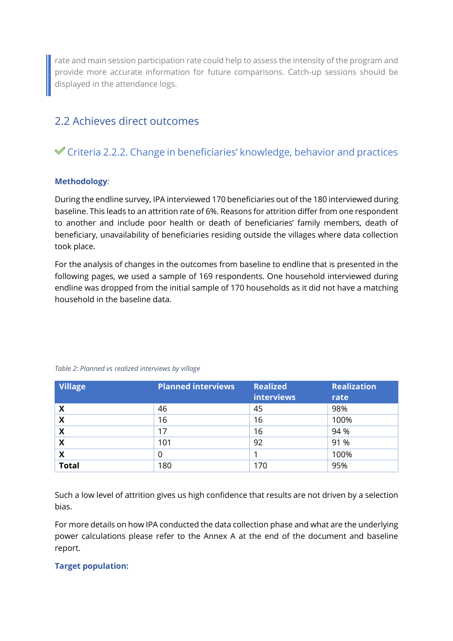rate and main session participation rate could help to assess the intensity of the program and provide more accurate information for future comparisons. Catch-up sessions should be displayed in the attendance logs.

### <span id="page-22-0"></span>2.2 Achieves direct outcomes

### Criteria 2.2.2. Change in beneficiaries' knowledge, behavior and practices

### **Methodology**:

During the endline survey, IPA interviewed 170 beneficiaries out of the 180 interviewed during baseline. This leads to an attrition rate of 6%. Reasons for attrition differ from one respondent to another and include poor health or death of beneficiaries' family members, death of beneficiary, unavailability of beneficiaries residing outside the villages where data collection took place.

For the analysis of changes in the outcomes from baseline to endline that is presented in the following pages, we used a sample of 169 respondents. One household interviewed during endline was dropped from the initial sample of 170 households as it did not have a matching household in the baseline data.

| <b>Village</b> | <b>Planned interviews</b> | <b>Realized</b><br><b>interviews</b> | Realization<br>rate |
|----------------|---------------------------|--------------------------------------|---------------------|
| Χ              | 46                        | 45                                   | 98%                 |
| X              | 16                        | 16                                   | 100%                |
| X              | 17                        | 16                                   | 94 %                |
| X              | 101                       | 92                                   | 91 %                |
| X              |                           |                                      | 100%                |
| <b>Total</b>   | 180                       | 170                                  | 95%                 |

<span id="page-22-1"></span>*Table 2: Planned vs realized interviews by village* 

Such a low level of attrition gives us high confidence that results are not driven by a selection bias.

For more details on how IPA conducted the data collection phase and what are the underlying power calculations please refer to the Annex A at the end of the document and baseline report.

### **Target population:**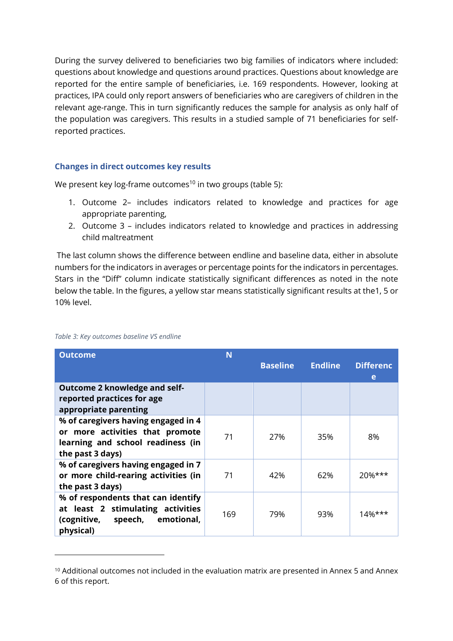During the survey delivered to beneficiaries two big families of indicators where included: questions about knowledge and questions around practices. Questions about knowledge are reported for the entire sample of beneficiaries, i.e. 169 respondents. However, looking at practices, IPA could only report answers of beneficiaries who are caregivers of children in the relevant age-range. This in turn significantly reduces the sample for analysis as only half of the population was caregivers. This results in a studied sample of 71 beneficiaries for selfreported practices.

### **Changes in direct outcomes key results**

We present key log-frame outcomes<sup>10</sup> in two groups (table 5):

- 1. Outcome 2– includes indicators related to knowledge and practices for age appropriate parenting,
- 2. Outcome 3 includes indicators related to knowledge and practices in addressing child maltreatment

 The last column shows the difference between endline and baseline data, either in absolute numbers for the indicators in averages or percentage points for the indicators in percentages. Stars in the "Diff" column indicate statistically significant differences as noted in the note below the table. In the figures, a yellow star means statistically significant results at the1, 5 or 10% level.

| <b>Outcome</b>                                                                                                                  | N   |                 |                |                       |
|---------------------------------------------------------------------------------------------------------------------------------|-----|-----------------|----------------|-----------------------|
|                                                                                                                                 |     | <b>Baseline</b> | <b>Endline</b> | <b>Differenc</b><br>e |
| <b>Outcome 2 knowledge and self-</b><br>reported practices for age<br>appropriate parenting                                     |     |                 |                |                       |
| % of caregivers having engaged in 4<br>or more activities that promote<br>learning and school readiness (in<br>the past 3 days) | 71  | 27%             | 35%            | 8%                    |
| % of caregivers having engaged in 7<br>or more child-rearing activities (in<br>the past 3 days)                                 | 71  | 42%             | 62%            | $20%***$              |
| % of respondents that can identify<br>at least 2 stimulating activities<br>(cognitive, speech, emotional,<br>physical)          | 169 | 79%             | 93%            | $14%***$              |

#### <span id="page-23-0"></span>*Table 3: Key outcomes baseline VS endline*

<sup>10</sup> Additional outcomes not included in the evaluation matrix are presented in Annex 5 and Annex 6 of this report.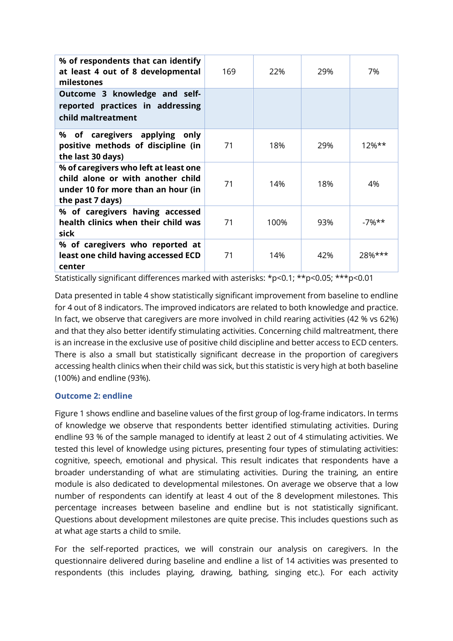| % of respondents that can identify<br>at least 4 out of 8 developmental<br>milestones                                                | 169 | 22%  | 29% | 7%       |
|--------------------------------------------------------------------------------------------------------------------------------------|-----|------|-----|----------|
| Outcome 3 knowledge and self-<br>reported practices in addressing<br>child maltreatment                                              |     |      |     |          |
| % of caregivers applying only<br>positive methods of discipline (in<br>the last 30 days)                                             | 71  | 18%  | 29% | $12%$ ** |
| % of caregivers who left at least one<br>child alone or with another child<br>under 10 for more than an hour (in<br>the past 7 days) | 71  | 14%  | 18% | 4%       |
| % of caregivers having accessed<br>health clinics when their child was<br>sick                                                       | 71  | 100% | 93% | $-7%$ ** |
| % of caregivers who reported at<br>least one child having accessed ECD<br>center                                                     | 71  | 14%  | 42% | 28%***   |

Statistically significant differences marked with asterisks: \*p<0.1; \*\*p<0.05; \*\*\*p<0.01

Data presented in table 4 show statistically significant improvement from baseline to endline for 4 out of 8 indicators. The improved indicators are related to both knowledge and practice. In fact, we observe that caregivers are more involved in child rearing activities (42 % vs 62%) and that they also better identify stimulating activities. Concerning child maltreatment, there is an increase in the exclusive use of positive child discipline and better access to ECD centers. There is also a small but statistically significant decrease in the proportion of caregivers accessing health clinics when their child was sick, but this statistic is very high at both baseline (100%) and endline (93%).

### **Outcome 2: endline**

Figure 1 shows endline and baseline values of the first group of log-frame indicators. In terms of knowledge we observe that respondents better identified stimulating activities. During endline 93 % of the sample managed to identify at least 2 out of 4 stimulating activities. We tested this level of knowledge using pictures, presenting four types of stimulating activities: cognitive, speech, emotional and physical. This result indicates that respondents have a broader understanding of what are stimulating activities. During the training, an entire module is also dedicated to developmental milestones. On average we observe that a low number of respondents can identify at least 4 out of the 8 development milestones. This percentage increases between baseline and endline but is not statistically significant. Questions about development milestones are quite precise. This includes questions such as at what age starts a child to smile.

For the self-reported practices, we will constrain our analysis on caregivers. In the questionnaire delivered during baseline and endline a list of 14 activities was presented to respondents (this includes playing, drawing, bathing, singing etc.). For each activity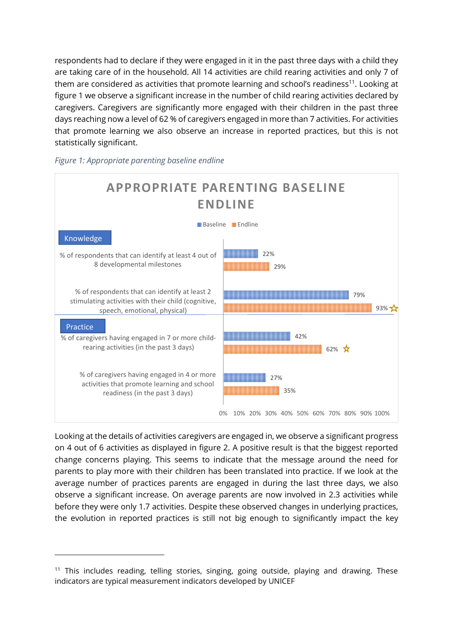respondents had to declare if they were engaged in it in the past three days with a child they are taking care of in the household. All 14 activities are child rearing activities and only 7 of them are considered as activities that promote learning and school's readiness<sup>11</sup>. Looking at figure 1 we observe a significant increase in the number of child rearing activities declared by caregivers. Caregivers are significantly more engaged with their children in the past three days reaching now a level of 62 % of caregivers engaged in more than 7 activities. For activities that promote learning we also observe an increase in reported practices, but this is not statistically significant.



<span id="page-25-0"></span>*Figure 1: Appropriate parenting baseline endline* 

Looking at the details of activities caregivers are engaged in, we observe a significant progress on 4 out of 6 activities as displayed in figure 2. A positive result is that the biggest reported change concerns playing. This seems to indicate that the message around the need for parents to play more with their children has been translated into practice. If we look at the average number of practices parents are engaged in during the last three days, we also observe a significant increase. On average parents are now involved in 2.3 activities while before they were only 1.7 activities. Despite these observed changes in underlying practices, the evolution in reported practices is still not big enough to significantly impact the key

<sup>&</sup>lt;sup>11</sup> This includes reading, telling stories, singing, going outside, playing and drawing. These indicators are typical measurement indicators developed by UNICEF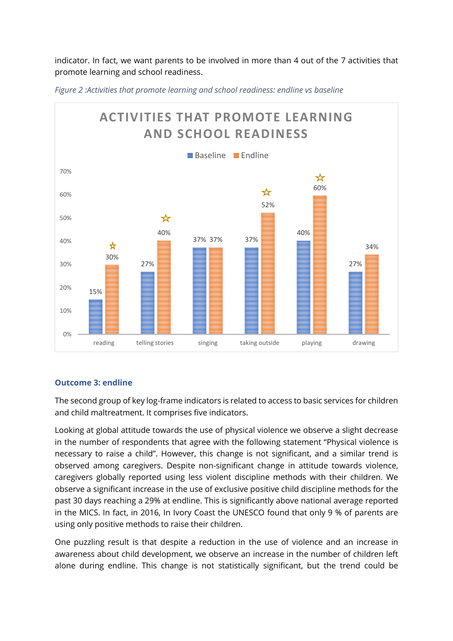indicator. In fact, we want parents to be involved in more than 4 out of the 7 activities that promote learning and school readiness.



<span id="page-26-0"></span>*Figure 2 :Activities that promote learning and school readiness: endline vs baseline* 

### **Outcome 3: endline**

The second group of key log-frame indicators is related to access to basic services for children and child maltreatment. It comprises five indicators.

Looking at global attitude towards the use of physical violence we observe a slight decrease in the number of respondents that agree with the following statement "Physical violence is necessary to raise a child". However, this change is not significant, and a similar trend is observed among caregivers. Despite non-significant change in attitude towards violence, caregivers globally reported using less violent discipline methods with their children. We observe a significant increase in the use of exclusive positive child discipline methods for the past 30 days reaching a 29% at endline. This is significantly above national average reported in the MICS. In fact, in 2016, In Ivory Coast the UNESCO found that only 9 % of parents are using only positive methods to raise their children.

One puzzling result is that despite a reduction in the use of violence and an increase in awareness about child development, we observe an increase in the number of children left alone during endline. This change is not statistically significant, but the trend could be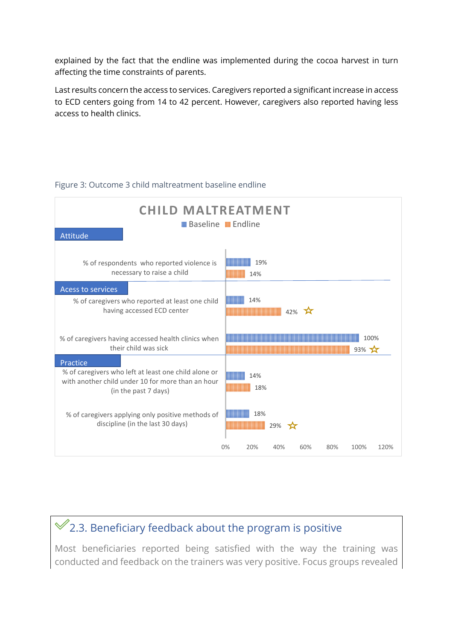explained by the fact that the endline was implemented during the cocoa harvest in turn affecting the time constraints of parents.

Last results concern the access to services. Caregivers reported a significant increase in access to ECD centers going from 14 to 42 percent. However, caregivers also reported having less access to health clinics.

| <b>CHILD MALTREATMENT</b><br><b>Baseline MEndline</b><br>Attitude                                                                                                                                                                      |                                                |
|----------------------------------------------------------------------------------------------------------------------------------------------------------------------------------------------------------------------------------------|------------------------------------------------|
| % of respondents who reported violence is<br>necessary to raise a child                                                                                                                                                                | 19%<br>14%                                     |
| <b>Acess to services</b><br>% of caregivers who reported at least one child<br>having accessed ECD center                                                                                                                              | 14%<br>$42\%$                                  |
| % of caregivers having accessed health clinics when<br>their child was sick                                                                                                                                                            | 100%<br>$93%$ $\frac{1}{2}$                    |
| Practice<br>% of caregivers who left at least one child alone or<br>with another child under 10 for more than an hour<br>(in the past 7 days)<br>% of caregivers applying only positive methods of<br>discipline (in the last 30 days) | 14%<br>18%<br>18%<br>29%<br>*ੱ                 |
|                                                                                                                                                                                                                                        | 20%<br>0%<br>40%<br>60%<br>80%<br>100%<br>120% |

#### Figure 3: Outcome 3 child maltreatment baseline endline

## $\mathcal{C}$ 2.3. Beneficiary feedback about the program is positive

Most beneficiaries reported being satisfied with the way the training was conducted and feedback on the trainers was very positive. Focus groups revealed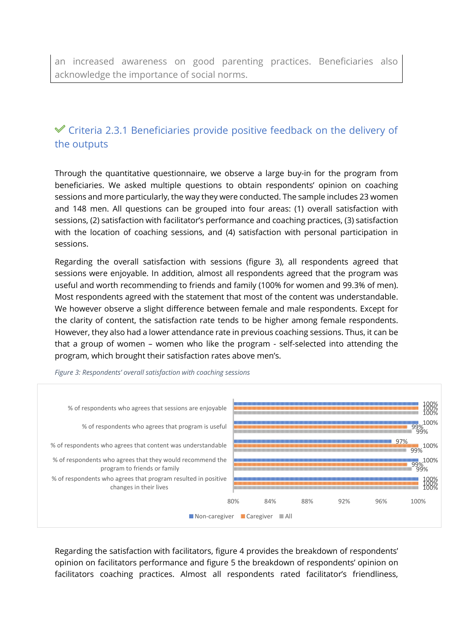### $\mathcal V$  Criteria 2.3.1 Beneficiaries provide positive feedback on the delivery of the outputs

Through the quantitative questionnaire, we observe a large buy-in for the program from beneficiaries. We asked multiple questions to obtain respondents' opinion on coaching sessions and more particularly, the way they were conducted. The sample includes 23 women and 148 men. All questions can be grouped into four areas: (1) overall satisfaction with sessions, (2) satisfaction with facilitator's performance and coaching practices, (3) satisfaction with the location of coaching sessions, and (4) satisfaction with personal participation in sessions.

Regarding the overall satisfaction with sessions (figure 3), all respondents agreed that sessions were enjoyable. In addition, almost all respondents agreed that the program was useful and worth recommending to friends and family (100% for women and 99.3% of men). Most respondents agreed with the statement that most of the content was understandable. We however observe a slight difference between female and male respondents. Except for the clarity of content, the satisfaction rate tends to be higher among female respondents. However, they also had a lower attendance rate in previous coaching sessions. Thus, it can be that a group of women – women who like the program - self-selected into attending the program, which brought their satisfaction rates above men's.



<span id="page-28-0"></span>*Figure 3: Respondents' overall satisfaction with coaching sessions*

Regarding the satisfaction with facilitators, figure 4 provides the breakdown of respondents' opinion on facilitators performance and figure 5 the breakdown of respondents' opinion on facilitators coaching practices. Almost all respondents rated facilitator's friendliness,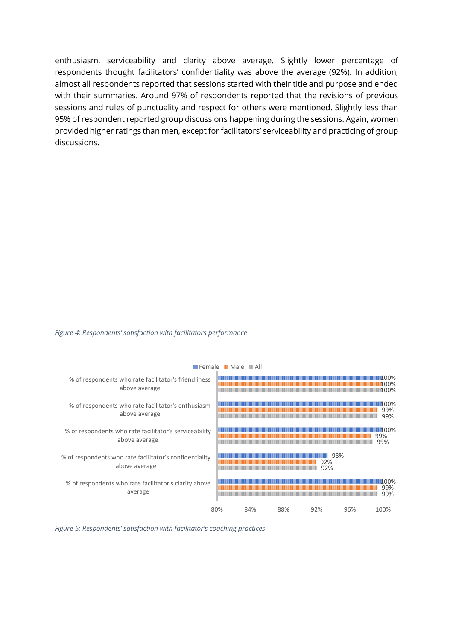enthusiasm, serviceability and clarity above average. Slightly lower percentage of respondents thought facilitators' confidentiality was above the average (92%). In addition, almost all respondents reported that sessions started with their title and purpose and ended with their summaries. Around 97% of respondents reported that the revisions of previous sessions and rules of punctuality and respect for others were mentioned. Slightly less than 95% of respondent reported group discussions happening during the sessions. Again, women provided higher ratings than men, except for facilitators' serviceability and practicing of group discussions.

#### <span id="page-29-0"></span>*Figure 4: Respondents' satisfaction with facilitators performance*



<span id="page-29-1"></span>*Figure 5: Respondents' satisfaction with facilitator's coaching practices*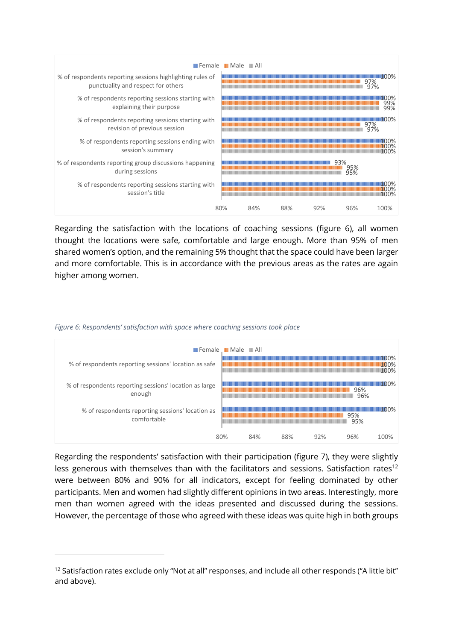

Regarding the satisfaction with the locations of coaching sessions (figure 6), all women thought the locations were safe, comfortable and large enough. More than 95% of men shared women's option, and the remaining 5% thought that the space could have been larger and more comfortable. This is in accordance with the previous areas as the rates are again higher among women.

|                                                                  |     | <b>Female</b> Male All |     |     |            |                       |
|------------------------------------------------------------------|-----|------------------------|-----|-----|------------|-----------------------|
| % of respondents reporting sessions' location as safe            |     |                        |     |     |            | 1100%<br>100%<br>100% |
| % of respondents reporting sessions' location as large<br>enough |     |                        |     |     | 96%<br>96% | <b>MOO%</b>           |
| % of respondents reporting sessions' location as<br>comfortable  |     |                        |     |     | 95%<br>95% | በበ%                   |
|                                                                  | 80% | 84%                    | 88% | 92% | 96%        | 100%                  |

<span id="page-30-0"></span>*Figure 6: Respondents' satisfaction with space where coaching sessions took place* 

Regarding the respondents' satisfaction with their participation (figure 7), they were slightly less generous with themselves than with the facilitators and sessions. Satisfaction rates<sup>12</sup> were between 80% and 90% for all indicators, except for feeling dominated by other participants. Men and women had slightly different opinions in two areas. Interestingly, more men than women agreed with the ideas presented and discussed during the sessions. However, the percentage of those who agreed with these ideas was quite high in both groups

<sup>&</sup>lt;sup>12</sup> Satisfaction rates exclude only "Not at all" responses, and include all other responds ("A little bit" and above).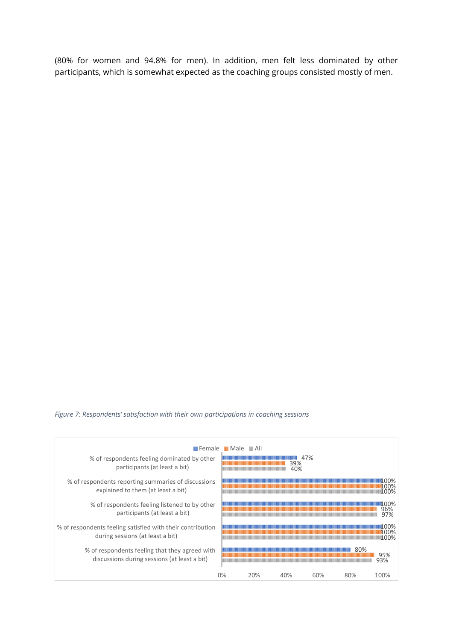<span id="page-31-0"></span>(80% for women and 94.8% for men). In addition, men felt less dominated by other participants, which is somewhat expected as the coaching groups consisted mostly of men.

#### *Figure 7: Respondents' satisfaction with their own participations in coaching sessions*

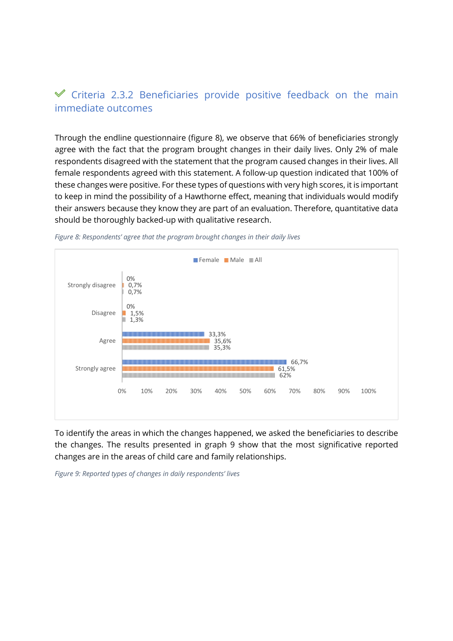### $\mathscr$  Criteria 2.3.2 Beneficiaries provide positive feedback on the main immediate outcomes

Through the endline questionnaire (figure 8), we observe that 66% of beneficiaries strongly agree with the fact that the program brought changes in their daily lives. Only 2% of male respondents disagreed with the statement that the program caused changes in their lives. All female respondents agreed with this statement. A follow-up question indicated that 100% of these changes were positive. For these types of questions with very high scores, it is important to keep in mind the possibility of a Hawthorne effect, meaning that individuals would modify their answers because they know they are part of an evaluation. Therefore, quantitative data should be thoroughly backed-up with qualitative research.



<span id="page-32-0"></span>*Figure 8: Respondents' agree that the program brought changes in their daily lives*

To identify the areas in which the changes happened, we asked the beneficiaries to describe the changes. The results presented in graph 9 show that the most significative reported changes are in the areas of child care and family relationships.

<span id="page-32-1"></span>*Figure 9: Reported types of changes in daily respondents' lives*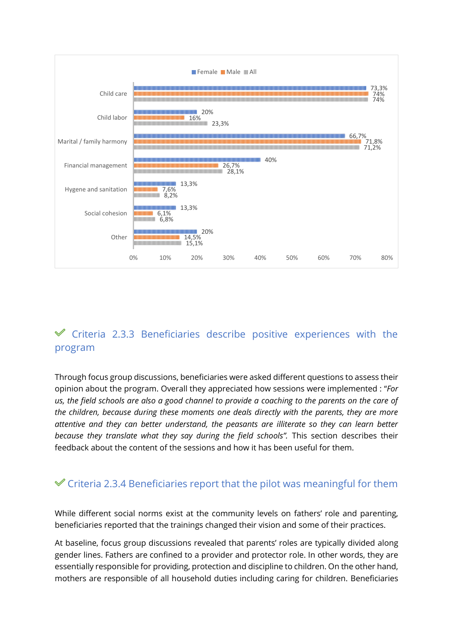

### $\mathscr$  Criteria 2.3.3 Beneficiaries describe positive experiences with the program

Through focus group discussions, beneficiaries were asked different questions to assess their opinion about the program. Overall they appreciated how sessions were implemented : "*For us, the field schools are also a good channel to provide a coaching to the parents on the care of the children, because during these moments one deals directly with the parents, they are more attentive and they can better understand, the peasants are illiterate so they can learn better because they translate what they say during the field schools".* This section describes their feedback about the content of the sessions and how it has been useful for them.

### $\mathcal V$  Criteria 2.3.4 Beneficiaries report that the pilot was meaningful for them

While different social norms exist at the community levels on fathers' role and parenting, beneficiaries reported that the trainings changed their vision and some of their practices.

At baseline, focus group discussions revealed that parents' roles are typically divided along gender lines. Fathers are confined to a provider and protector role. In other words, they are essentially responsible for providing, protection and discipline to children. On the other hand, mothers are responsible of all household duties including caring for children. Beneficiaries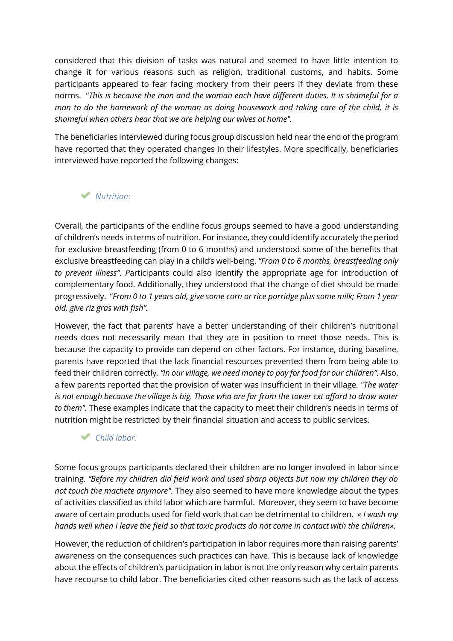considered that this division of tasks was natural and seemed to have little intention to change it for various reasons such as religion, traditional customs, and habits. Some participants appeared to fear facing mockery from their peers if they deviate from these norms. "*This is because the man and the woman each have different duties. It is shameful for a man to do the homework of the woman as doing housework and taking care of the child, it is shameful when others hear that we are helping our wives at home".* 

The beneficiaries interviewed during focus group discussion held near the end of the program have reported that they operated changes in their lifestyles. More specifically, beneficiaries interviewed have reported the following changes:

### *Nutrition:*

Overall, the participants of the endline focus groups seemed to have a good understanding of children's needs in terms of nutrition. For instance, they could identify accurately the period for exclusive breastfeeding (from 0 to 6 months) and understood some of the benefits that exclusive breastfeeding can play in a child's well-being. *"From 0 to 6 months, breastfeeding only to prevent illness". P*articipants could also identify the appropriate age for introduction of complementary food. Additionally, they understood that the change of diet should be made progressively. "*From 0 to 1 years old, give some corn or rice porridge plus some milk; From 1 year old, give riz gras with fish".* 

However, the fact that parents' have a better understanding of their children's nutritional needs does not necessarily mean that they are in position to meet those needs. This is because the capacity to provide can depend on other factors. For instance, during baseline, parents have reported that the lack financial resources prevented them from being able to feed their children correctly*. "In our village, we need money to pay for food for our children".* Also, a few parents reported that the provision of water was insufficient in their village*. "The water is not enough because the village is big. Those who are far from the tower cxt afford to draw water to them".* These examples indicate that the capacity to meet their children's needs in terms of nutrition might be restricted by their financial situation and access to public services.

### *Child labor:*

Some focus groups participants declared their children are no longer involved in labor since training. *"Before my children did field work and used sharp objects but now my children they do not touch the machete anymore".* They also seemed to have more knowledge about the types of activities classified as child labor which are harmful. Moreover, they seem to have become aware of certain products used for field work that can be detrimental to children*. « I wash my hands well when I leave the field so that toxic products do not come in contact with the children».*

However, the reduction of children's participation in labor requires more than raising parents' awareness on the consequences such practices can have. This is because lack of knowledge about the effects of children's participation in labor is not the only reason why certain parents have recourse to child labor. The beneficiaries cited other reasons such as the lack of access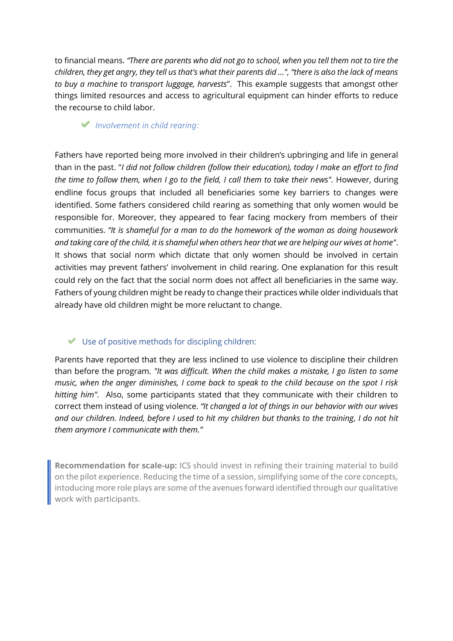to financial means. *"There are parents who did not go to school, when you tell them not to tire the children, they get angry, they tell us that's what their parents did ...", "there is also the lack of means to buy a machine to transport luggage, harvests*". This example suggests that amongst other things limited resources and access to agricultural equipment can hinder efforts to reduce the recourse to child labor.

#### *Involvement in child rearing:*

Fathers have reported being more involved in their children's upbringing and life in general than in the past. "*I did not follow children (follow their education), today I make an effort to find the time to follow them, when I go to the field, I call them to take their news".* However, during endline focus groups that included all beneficiaries some key barriers to changes were identified. Some fathers considered child rearing as something that only women would be responsible for. Moreover, they appeared to fear facing mockery from members of their communities. *"It is shameful for a man to do the homework of the woman as doing housework and taking care of the child, it is shameful when others hear that we are helping our wives at home"*. It shows that social norm which dictate that only women should be involved in certain activities may prevent fathers' involvement in child rearing. One explanation for this result could rely on the fact that the social norm does not affect all beneficiaries in the same way. Fathers of young children might be ready to change their practices while older individuals that already have old children might be more reluctant to change.

### Use of positive methods for discipling children:

Parents have reported that they are less inclined to use violence to discipline their children than before the program. *"It was difficult. When the child makes a mistake, I go listen to some music, when the anger diminishes, I come back to speak to the child because on the spot I risk hitting him".* Also, some participants stated that they communicate with their children to correct them instead of using violence. *"It changed a lot of things in our behavior with our wives and our children. Indeed, before I used to hit my children but thanks to the training, I do not hit them anymore I communicate with them."*

**Recommendation for scale-up:** ICS should invest in refining their training material to build on the pilot experience. Reducing the time of a session, simplifying some of the core concepts, intoducing more role plays are some of the avenues forward identified through our qualitative work with participants.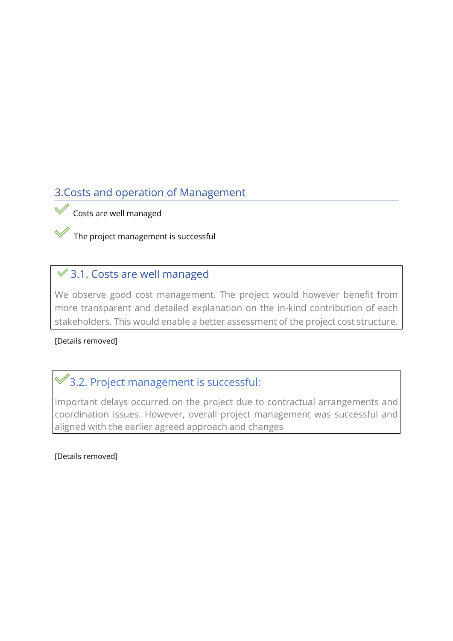### <span id="page-36-0"></span>3.Costs and operation of Management

Costs are well managed

The project management is successful

### ◆ 3.1. Costs are well managed

We observe good cost management. The project would however benefit from more transparent and detailed explanation on the in-kind contribution of each stakeholders. This would enable a better assessment of the project cost structure.

### [Details removed]

## <span id="page-36-1"></span> $\mathscr$ 3.2. Project management is successful:

Important delays occurred on the project due to contractual arrangements and coordination issues. However, overall project management was successful and aligned with the earlier agreed approach and changes

[Details removed]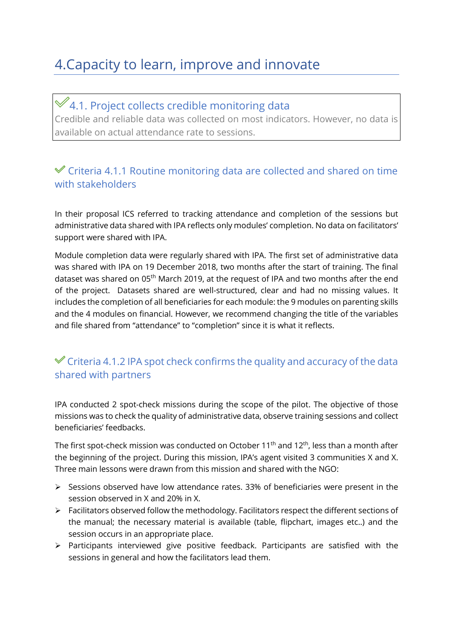# <span id="page-37-0"></span>4.Capacity to learn, improve and innovate

<span id="page-37-1"></span> $\mathscr>4.1$ . Project collects credible monitoring data Credible and reliable data was collected on most indicators. However, no data is available on actual attendance rate to sessions.

### Criteria 4.1.1 Routine monitoring data are collected and shared on time with stakeholders

In their proposal ICS referred to tracking attendance and completion of the sessions but administrative data shared with IPA reflects only modules' completion. No data on facilitators' support were shared with IPA.

Module completion data were regularly shared with IPA. The first set of administrative data was shared with IPA on 19 December 2018, two months after the start of training. The final dataset was shared on 05<sup>th</sup> March 2019, at the request of IPA and two months after the end of the project. Datasets shared are well-structured, clear and had no missing values. It includes the completion of all beneficiaries for each module: the 9 modules on parenting skills and the 4 modules on financial. However, we recommend changing the title of the variables and file shared from "attendance" to "completion" since it is what it reflects.

### $\checkmark$  Criteria 4.1.2 IPA spot check confirms the quality and accuracy of the data shared with partners

IPA conducted 2 spot-check missions during the scope of the pilot. The objective of those missions was to check the quality of administrative data, observe training sessions and collect beneficiaries' feedbacks.

The first spot-check mission was conducted on October 11<sup>th</sup> and 12<sup>th</sup>, less than a month after the beginning of the project. During this mission, IPA's agent visited 3 communities X and X. Three main lessons were drawn from this mission and shared with the NGO:

- ➢ Sessions observed have low attendance rates. 33% of beneficiaries were present in the session observed in X and 20% in X.
- ➢ Facilitators observed follow the methodology. Facilitators respect the different sections of the manual; the necessary material is available (table, flipchart, images etc..) and the session occurs in an appropriate place.
- ➢ Participants interviewed give positive feedback. Participants are satisfied with the sessions in general and how the facilitators lead them.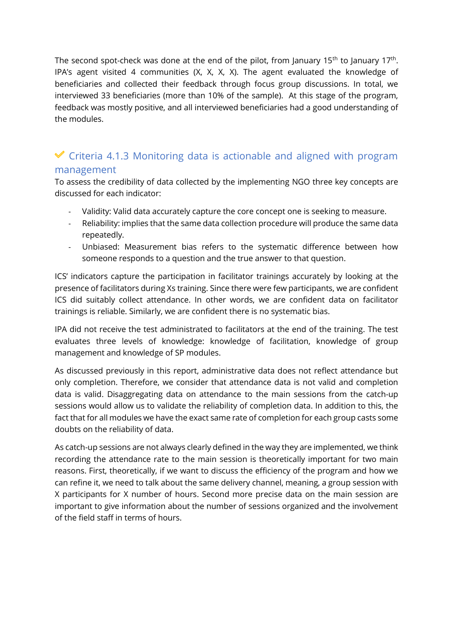The second spot-check was done at the end of the pilot, from January 15<sup>th</sup> to January 17<sup>th</sup>. IPA's agent visited 4 communities (X, X, X, X). The agent evaluated the knowledge of beneficiaries and collected their feedback through focus group discussions. In total, we interviewed 33 beneficiaries (more than 10% of the sample). At this stage of the program, feedback was mostly positive, and all interviewed beneficiaries had a good understanding of the modules.

### $\checkmark$  Criteria 4.1.3 Monitoring data is actionable and aligned with program management

To assess the credibility of data collected by the implementing NGO three key concepts are discussed for each indicator:

- Validity: Valid data accurately capture the core concept one is seeking to measure.
- Reliability: implies that the same data collection procedure will produce the same data repeatedly.
- Unbiased: Measurement bias refers to the systematic difference between how someone responds to a question and the true answer to that question.

ICS' indicators capture the participation in facilitator trainings accurately by looking at the presence of facilitators during Xs training. Since there were few participants, we are confident ICS did suitably collect attendance. In other words, we are confident data on facilitator trainings is reliable. Similarly, we are confident there is no systematic bias.

IPA did not receive the test administrated to facilitators at the end of the training. The test evaluates three levels of knowledge: knowledge of facilitation, knowledge of group management and knowledge of SP modules.

As discussed previously in this report, administrative data does not reflect attendance but only completion. Therefore, we consider that attendance data is not valid and completion data is valid. Disaggregating data on attendance to the main sessions from the catch-up sessions would allow us to validate the reliability of completion data. In addition to this, the fact that for all modules we have the exact same rate of completion for each group casts some doubts on the reliability of data.

As catch-up sessions are not always clearly defined in the way they are implemented, we think recording the attendance rate to the main session is theoretically important for two main reasons. First, theoretically, if we want to discuss the efficiency of the program and how we can refine it, we need to talk about the same delivery channel, meaning, a group session with X participants for X number of hours. Second more precise data on the main session are important to give information about the number of sessions organized and the involvement of the field staff in terms of hours.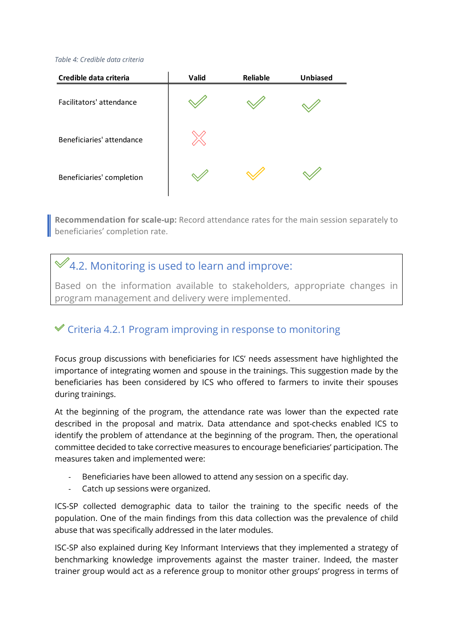#### <span id="page-39-1"></span>*Table 4: Credible data criteria*

| Credible data criteria    | Valid | Reliable | <b>Unbiased</b> |
|---------------------------|-------|----------|-----------------|
| Facilitators' attendance  |       |          |                 |
| Beneficiaries' attendance |       |          |                 |
| Beneficiaries' completion |       |          |                 |

**Recommendation for scale-up:** Record attendance rates for the main session separately to **beneficiaries' completion rate.** 

## <span id="page-39-0"></span> $\mathcal{A}$ 4.2. Monitoring is used to learn and improve:

Based on the information available to stakeholders, appropriate changes in program management and delivery were implemented.

### $\mathscr$  Criteria 4.2.1 Program improving in response to monitoring

Focus group discussions with beneficiaries for ICS' needs assessment have highlighted the importance of integrating women and spouse in the trainings. This suggestion made by the beneficiaries has been considered by ICS who offered to farmers to invite their spouses during trainings.

At the beginning of the program, the attendance rate was lower than the expected rate described in the proposal and matrix. Data attendance and spot-checks enabled ICS to identify the problem of attendance at the beginning of the program. Then, the operational committee decided to take corrective measures to encourage beneficiaries' participation. The measures taken and implemented were:

- Beneficiaries have been allowed to attend any session on a specific day.
- Catch up sessions were organized.

ICS-SP collected demographic data to tailor the training to the specific needs of the population. One of the main findings from this data collection was the prevalence of child abuse that was specifically addressed in the later modules.

ISC-SP also explained during Key Informant Interviews that they implemented a strategy of benchmarking knowledge improvements against the master trainer. Indeed, the master trainer group would act as a reference group to monitor other groups' progress in terms of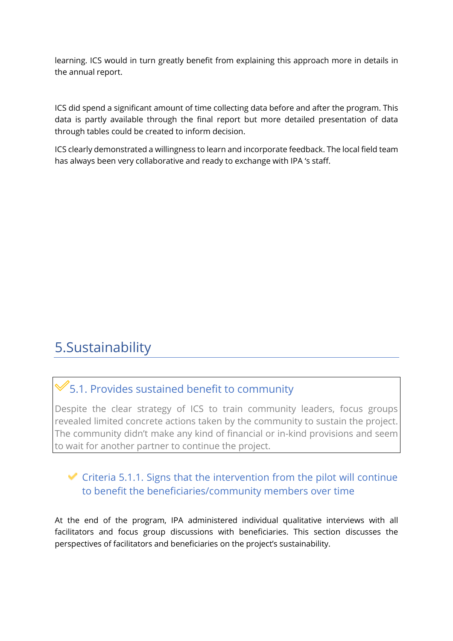learning. ICS would in turn greatly benefit from explaining this approach more in details in the annual report.

ICS did spend a significant amount of time collecting data before and after the program. This data is partly available through the final report but more detailed presentation of data through tables could be created to inform decision.

ICS clearly demonstrated a willingness to learn and incorporate feedback. The local field team has always been very collaborative and ready to exchange with IPA 's staff.

## <span id="page-40-0"></span>5.Sustainability

## <span id="page-40-1"></span> $\mathcal$  5.1. Provides sustained benefit to community

Despite the clear strategy of ICS to train community leaders, focus groups revealed limited concrete actions taken by the community to sustain the project. The community didn't make any kind of financial or in-kind provisions and seem to wait for another partner to continue the project.

### $\blacktriangleright$  Criteria 5.1.1. Signs that the intervention from the pilot will continue to benefit the beneficiaries/community members over time

At the end of the program, IPA administered individual qualitative interviews with all facilitators and focus group discussions with beneficiaries. This section discusses the perspectives of facilitators and beneficiaries on the project's sustainability.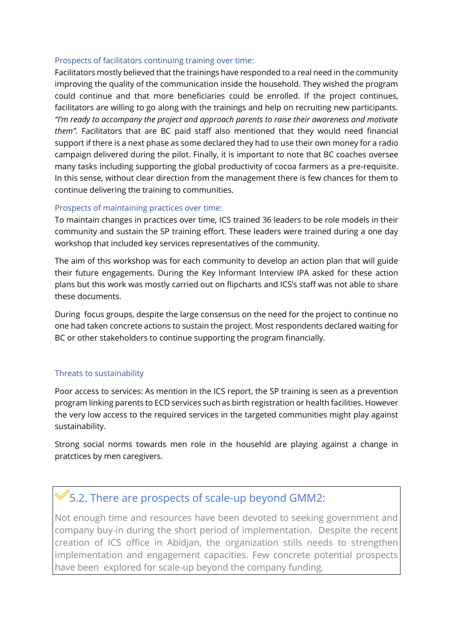#### Prospects of facilitators continuing training over time:

Facilitators mostly believed that the trainings have responded to a real need in the community improving the quality of the communication inside the household. They wished the program could continue and that more beneficiaries could be enrolled. If the project continues, facilitators are willing to go along with the trainings and help on recruiting new participants. *"I'm ready to accompany the project and approach parents to raise their awareness and motivate them".* Facilitators that are BC paid staff also mentioned that they would need financial support if there is a next phase as some declared they had to use their own money for a radio campaign delivered during the pilot. Finally, it is important to note that BC coaches oversee many tasks including supporting the global productivity of cocoa farmers as a pre-requisite. In this sense, without clear direction from the management there is few chances for them to continue delivering the training to communities.

### Prospects of maintaining practices over time:

To maintain changes in practices over time, ICS trained 36 leaders to be role models in their community and sustain the SP training effort. These leaders were trained during a one day workshop that included key services representatives of the community.

The aim of this workshop was for each community to develop an action plan that will guide their future engagements. During the Key Informant Interview IPA asked for these action plans but this work was mostly carried out on flipcharts and ICS's staff was not able to share these documents.

During focus groups, despite the large consensus on the need for the project to continue no one had taken concrete actions to sustain the project. Most respondents declared waiting for BC or other stakeholders to continue supporting the program financially.

### Threats to sustainability

Poor access to services: As mention in the ICS report, the SP training is seen as a prevention program linking parents to ECD services such as birth registration or health facilities. However the very low access to the required services in the targeted communities might play against sustainability.

Strong social norms towards men role in the househld are playing against a change in pratctices by men caregivers.

### <span id="page-41-0"></span> $\mathbb V$  5.2. There are prospects of scale-up beyond GMM2:

Not enough time and resources have been devoted to seeking government and company buy-in during the short period of implementation. Despite the recent creation of ICS office in Abidjan, the organization stills needs to strengthen implementation and engagement capacities. Few concrete potential prospects have been explored for scale-up beyond the company funding.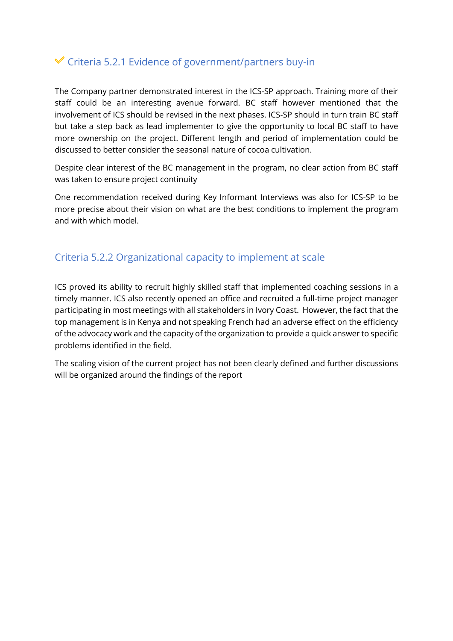### $\checkmark$  Criteria 5.2.1 Evidence of government/partners buy-in

The Company partner demonstrated interest in the ICS-SP approach. Training more of their staff could be an interesting avenue forward. BC staff however mentioned that the involvement of ICS should be revised in the next phases. ICS-SP should in turn train BC staff but take a step back as lead implementer to give the opportunity to local BC staff to have more ownership on the project. Different length and period of implementation could be discussed to better consider the seasonal nature of cocoa cultivation.

Despite clear interest of the BC management in the program, no clear action from BC staff was taken to ensure project continuity

One recommendation received during Key Informant Interviews was also for ICS-SP to be more precise about their vision on what are the best conditions to implement the program and with which model.

### Criteria 5.2.2 Organizational capacity to implement at scale

ICS proved its ability to recruit highly skilled staff that implemented coaching sessions in a timely manner. ICS also recently opened an office and recruited a full-time project manager participating in most meetings with all stakeholders in Ivory Coast. However, the fact that the top management is in Kenya and not speaking French had an adverse effect on the efficiency of the advocacy work and the capacity of the organization to provide a quick answer to specific problems identified in the field.

The scaling vision of the current project has not been clearly defined and further discussions will be organized around the findings of the report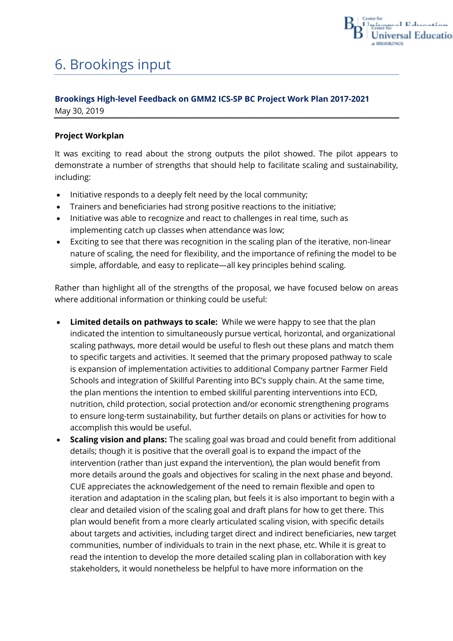

# <span id="page-43-0"></span>6. Brookings input

### **Brookings High-level Feedback on GMM2 ICS-SP BC Project Work Plan 2017-2021** May 30, 2019

### **Project Workplan**

It was exciting to read about the strong outputs the pilot showed. The pilot appears to demonstrate a number of strengths that should help to facilitate scaling and sustainability, including:

- Initiative responds to a deeply felt need by the local community;
- Trainers and beneficiaries had strong positive reactions to the initiative;
- Initiative was able to recognize and react to challenges in real time, such as implementing catch up classes when attendance was low;
- Exciting to see that there was recognition in the scaling plan of the iterative, non-linear nature of scaling, the need for flexibility, and the importance of refining the model to be simple, affordable, and easy to replicate—all key principles behind scaling.

Rather than highlight all of the strengths of the proposal, we have focused below on areas where additional information or thinking could be useful:

- **Limited details on pathways to scale:** While we were happy to see that the plan indicated the intention to simultaneously pursue vertical, horizontal, and organizational scaling pathways, more detail would be useful to flesh out these plans and match them to specific targets and activities. It seemed that the primary proposed pathway to scale is expansion of implementation activities to additional Company partner Farmer Field Schools and integration of Skillful Parenting into BC's supply chain. At the same time, the plan mentions the intention to embed skillful parenting interventions into ECD, nutrition, child protection, social protection and/or economic strengthening programs to ensure long-term sustainability, but further details on plans or activities for how to accomplish this would be useful.
- **Scaling vision and plans:** The scaling goal was broad and could benefit from additional details; though it is positive that the overall goal is to expand the impact of the intervention (rather than just expand the intervention), the plan would benefit from more details around the goals and objectives for scaling in the next phase and beyond. CUE appreciates the acknowledgement of the need to remain flexible and open to iteration and adaptation in the scaling plan, but feels it is also important to begin with a clear and detailed vision of the scaling goal and draft plans for how to get there. This plan would benefit from a more clearly articulated scaling vision, with specific details about targets and activities, including target direct and indirect beneficiaries, new target communities, number of individuals to train in the next phase, etc. While it is great to read the intention to develop the more detailed scaling plan in collaboration with key stakeholders, it would nonetheless be helpful to have more information on the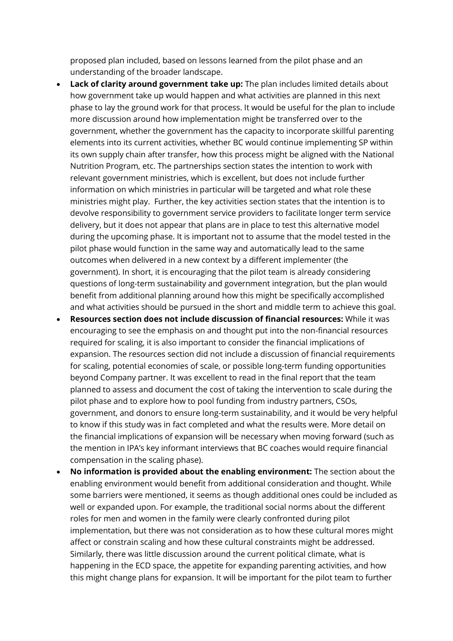proposed plan included, based on lessons learned from the pilot phase and an understanding of the broader landscape.

- Lack of clarity around government take up: The plan includes limited details about how government take up would happen and what activities are planned in this next phase to lay the ground work for that process. It would be useful for the plan to include more discussion around how implementation might be transferred over to the government, whether the government has the capacity to incorporate skillful parenting elements into its current activities, whether BC would continue implementing SP within its own supply chain after transfer, how this process might be aligned with the National Nutrition Program, etc. The partnerships section states the intention to work with relevant government ministries, which is excellent, but does not include further information on which ministries in particular will be targeted and what role these ministries might play. Further, the key activities section states that the intention is to devolve responsibility to government service providers to facilitate longer term service delivery, but it does not appear that plans are in place to test this alternative model during the upcoming phase. It is important not to assume that the model tested in the pilot phase would function in the same way and automatically lead to the same outcomes when delivered in a new context by a different implementer (the government). In short, it is encouraging that the pilot team is already considering questions of long-term sustainability and government integration, but the plan would benefit from additional planning around how this might be specifically accomplished and what activities should be pursued in the short and middle term to achieve this goal.
- **Resources section does not include discussion of financial resources:** While it was encouraging to see the emphasis on and thought put into the non-financial resources required for scaling, it is also important to consider the financial implications of expansion. The resources section did not include a discussion of financial requirements for scaling, potential economies of scale, or possible long-term funding opportunities beyond Company partner. It was excellent to read in the final report that the team planned to assess and document the cost of taking the intervention to scale during the pilot phase and to explore how to pool funding from industry partners, CSOs, government, and donors to ensure long-term sustainability, and it would be very helpful to know if this study was in fact completed and what the results were. More detail on the financial implications of expansion will be necessary when moving forward (such as the mention in IPA's key informant interviews that BC coaches would require financial compensation in the scaling phase).
- **No information is provided about the enabling environment:** The section about the enabling environment would benefit from additional consideration and thought. While some barriers were mentioned, it seems as though additional ones could be included as well or expanded upon. For example, the traditional social norms about the different roles for men and women in the family were clearly confronted during pilot implementation, but there was not consideration as to how these cultural mores might affect or constrain scaling and how these cultural constraints might be addressed. Similarly, there was little discussion around the current political climate, what is happening in the ECD space, the appetite for expanding parenting activities, and how this might change plans for expansion. It will be important for the pilot team to further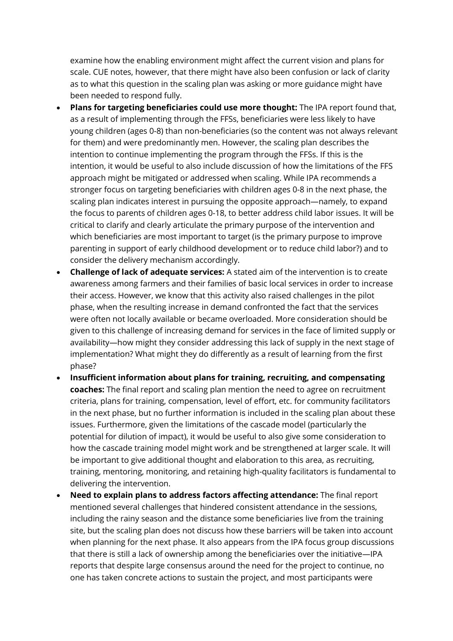examine how the enabling environment might affect the current vision and plans for scale. CUE notes, however, that there might have also been confusion or lack of clarity as to what this question in the scaling plan was asking or more guidance might have been needed to respond fully.

- **Plans for targeting beneficiaries could use more thought:** The IPA report found that, as a result of implementing through the FFSs, beneficiaries were less likely to have young children (ages 0-8) than non-beneficiaries (so the content was not always relevant for them) and were predominantly men. However, the scaling plan describes the intention to continue implementing the program through the FFSs. If this is the intention, it would be useful to also include discussion of how the limitations of the FFS approach might be mitigated or addressed when scaling. While IPA recommends a stronger focus on targeting beneficiaries with children ages 0-8 in the next phase, the scaling plan indicates interest in pursuing the opposite approach—namely, to expand the focus to parents of children ages 0-18, to better address child labor issues. It will be critical to clarify and clearly articulate the primary purpose of the intervention and which beneficiaries are most important to target (is the primary purpose to improve parenting in support of early childhood development or to reduce child labor?) and to consider the delivery mechanism accordingly.
- **Challenge of lack of adequate services:** A stated aim of the intervention is to create awareness among farmers and their families of basic local services in order to increase their access. However, we know that this activity also raised challenges in the pilot phase, when the resulting increase in demand confronted the fact that the services were often not locally available or became overloaded. More consideration should be given to this challenge of increasing demand for services in the face of limited supply or availability—how might they consider addressing this lack of supply in the next stage of implementation? What might they do differently as a result of learning from the first phase?
- **Insufficient information about plans for training, recruiting, and compensating coaches:** The final report and scaling plan mention the need to agree on recruitment criteria, plans for training, compensation, level of effort, etc. for community facilitators in the next phase, but no further information is included in the scaling plan about these issues. Furthermore, given the limitations of the cascade model (particularly the potential for dilution of impact), it would be useful to also give some consideration to how the cascade training model might work and be strengthened at larger scale. It will be important to give additional thought and elaboration to this area, as recruiting, training, mentoring, monitoring, and retaining high-quality facilitators is fundamental to delivering the intervention.
- **Need to explain plans to address factors affecting attendance:** The final report mentioned several challenges that hindered consistent attendance in the sessions, including the rainy season and the distance some beneficiaries live from the training site, but the scaling plan does not discuss how these barriers will be taken into account when planning for the next phase. It also appears from the IPA focus group discussions that there is still a lack of ownership among the beneficiaries over the initiative—IPA reports that despite large consensus around the need for the project to continue, no one has taken concrete actions to sustain the project, and most participants were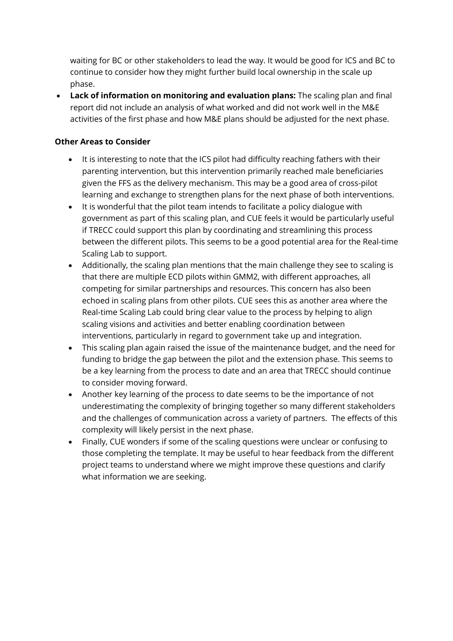waiting for BC or other stakeholders to lead the way. It would be good for ICS and BC to continue to consider how they might further build local ownership in the scale up phase.

• **Lack of information on monitoring and evaluation plans:** The scaling plan and final report did not include an analysis of what worked and did not work well in the M&E activities of the first phase and how M&E plans should be adjusted for the next phase.

### **Other Areas to Consider**

- It is interesting to note that the ICS pilot had difficulty reaching fathers with their parenting intervention, but this intervention primarily reached male beneficiaries given the FFS as the delivery mechanism. This may be a good area of cross-pilot learning and exchange to strengthen plans for the next phase of both interventions.
- It is wonderful that the pilot team intends to facilitate a policy dialogue with government as part of this scaling plan, and CUE feels it would be particularly useful if TRECC could support this plan by coordinating and streamlining this process between the different pilots. This seems to be a good potential area for the Real-time Scaling Lab to support.
- Additionally, the scaling plan mentions that the main challenge they see to scaling is that there are multiple ECD pilots within GMM2, with different approaches, all competing for similar partnerships and resources. This concern has also been echoed in scaling plans from other pilots. CUE sees this as another area where the Real-time Scaling Lab could bring clear value to the process by helping to align scaling visions and activities and better enabling coordination between interventions, particularly in regard to government take up and integration.
- This scaling plan again raised the issue of the maintenance budget, and the need for funding to bridge the gap between the pilot and the extension phase. This seems to be a key learning from the process to date and an area that TRECC should continue to consider moving forward.
- Another key learning of the process to date seems to be the importance of not underestimating the complexity of bringing together so many different stakeholders and the challenges of communication across a variety of partners. The effects of this complexity will likely persist in the next phase.
- Finally, CUE wonders if some of the scaling questions were unclear or confusing to those completing the template. It may be useful to hear feedback from the different project teams to understand where we might improve these questions and clarify what information we are seeking.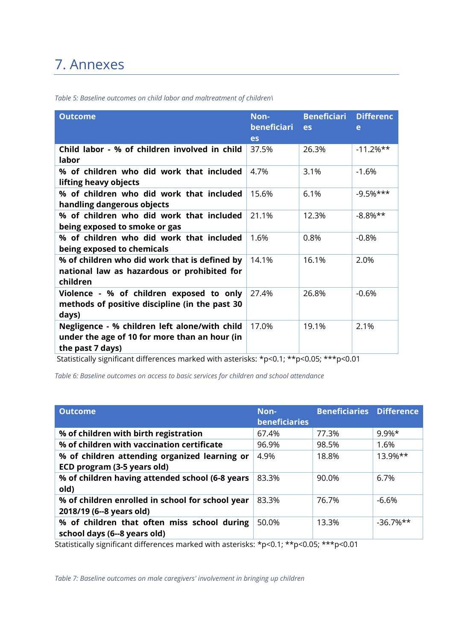## <span id="page-47-0"></span>7. Annexes

| <b>Outcome</b>                                                                                                     | Non-<br>beneficiari<br>es | <b>Beneficiari</b><br>es | <b>Differenc</b><br>e |
|--------------------------------------------------------------------------------------------------------------------|---------------------------|--------------------------|-----------------------|
| Child labor - % of children involved in child<br>labor                                                             | 37.5%                     | 26.3%                    | $-11.2%$ **           |
| % of children who did work that included<br>lifting heavy objects                                                  | 4.7%                      | 3.1%                     | $-1.6%$               |
| % of children who did work that included<br>handling dangerous objects                                             | 15.6%                     | 6.1%                     | $-9.5%$ ***           |
| % of children who did work that included<br>being exposed to smoke or gas                                          | 21.1%                     | 12.3%                    | $-8.8\%**$            |
| % of children who did work that included<br>being exposed to chemicals                                             | 1.6%                      | 0.8%                     | $-0.8%$               |
| % of children who did work that is defined by<br>national law as hazardous or prohibited for<br>children           | 14.1%                     | 16.1%                    | 2.0%                  |
| Violence - % of children exposed to only<br>methods of positive discipline (in the past 30<br>days)                | 27.4%                     | 26.8%                    | $-0.6%$               |
| Negligence - % children left alone/with child<br>under the age of 10 for more than an hour (in<br>the past 7 days) | 17.0%                     | 19.1%                    | 2.1%                  |

<span id="page-47-1"></span>*Table 5: Baseline outcomes on child labor and maltreatment of children\* 

Statistically significant differences marked with asterisks: \*p<0.1; \*\*p<0.05; \*\*\*p<0.01

<span id="page-47-2"></span>*Table 6: Baseline outcomes on access to basic services for children and school attendance* 

| <b>Outcome</b>                                                               | Non-<br><b>beneficiaries</b> | <b>Beneficiaries Difference</b> |              |
|------------------------------------------------------------------------------|------------------------------|---------------------------------|--------------|
| % of children with birth registration                                        | 67.4%                        | 77.3%                           | $9.9\%*$     |
| % of children with vaccination certificate                                   | 96.9%                        | 98.5%                           | 1.6%         |
| % of children attending organized learning or<br>ECD program (3-5 years old) | 4.9%                         | 18.8%                           | $13.9%$ **   |
| % of children having attended school (6-8 years<br>old)                      | 83.3%                        | 90.0%                           | 6.7%         |
| % of children enrolled in school for school year<br>2018/19 (6--8 years old) | 83.3%                        | 76.7%                           | $-6.6%$      |
| % of children that often miss school during<br>school days (6--8 years old)  | 50.0%                        | 13.3%                           | $-36.7\%$ ** |

Statistically significant differences marked with asterisks: \*p<0.1; \*\*p<0.05; \*\*\*p<0.01

<span id="page-47-3"></span>*Table 7: Baseline outcomes on male caregivers' involvement in bringing up children*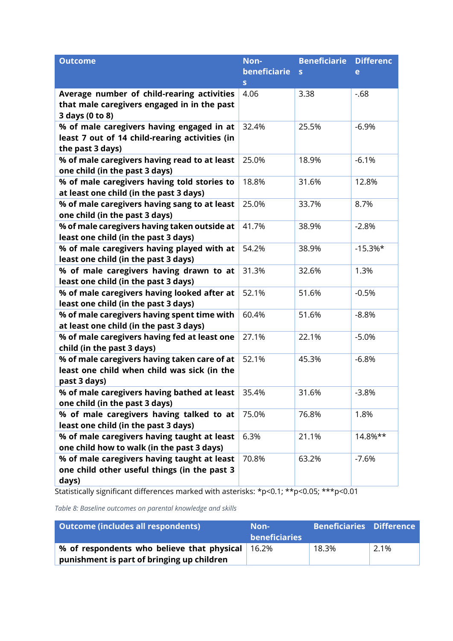| <b>Outcome</b>                                                                     | Non-         | <b>Beneficiarie</b> | <b>Differenc</b> |
|------------------------------------------------------------------------------------|--------------|---------------------|------------------|
|                                                                                    | beneficiarie | S                   | e                |
|                                                                                    | $\mathbf S$  |                     |                  |
| Average number of child-rearing activities                                         | 4.06         | 3.38                | $-68$            |
| that male caregivers engaged in in the past                                        |              |                     |                  |
| 3 days (0 to 8)                                                                    |              |                     |                  |
| % of male caregivers having engaged in at                                          | 32.4%        | 25.5%               | $-6.9%$          |
| least 7 out of 14 child-rearing activities (in                                     |              |                     |                  |
| the past 3 days)                                                                   |              |                     |                  |
| % of male caregivers having read to at least                                       | 25.0%        | 18.9%               | $-6.1%$          |
| one child (in the past 3 days)                                                     |              |                     |                  |
| % of male caregivers having told stories to                                        | 18.8%        | 31.6%               | 12.8%            |
| at least one child (in the past 3 days)                                            |              |                     |                  |
| % of male caregivers having sang to at least                                       | 25.0%        | 33.7%               | 8.7%             |
| one child (in the past 3 days)                                                     |              |                     |                  |
| % of male caregivers having taken outside at                                       | 41.7%        | 38.9%               | $-2.8%$          |
| least one child (in the past 3 days)                                               |              |                     |                  |
| % of male caregivers having played with at<br>least one child (in the past 3 days) | 54.2%        | 38.9%               | $-15.3%$ *       |
| % of male caregivers having drawn to at                                            | 31.3%        | 32.6%               | 1.3%             |
| least one child (in the past 3 days)                                               |              |                     |                  |
| % of male caregivers having looked after at                                        | 52.1%        | 51.6%               | $-0.5%$          |
| least one child (in the past 3 days)                                               |              |                     |                  |
| % of male caregivers having spent time with                                        | 60.4%        | 51.6%               | $-8.8%$          |
| at least one child (in the past 3 days)                                            |              |                     |                  |
| % of male caregivers having fed at least one                                       | 27.1%        | 22.1%               | $-5.0%$          |
| child (in the past 3 days)                                                         |              |                     |                  |
| % of male caregivers having taken care of at                                       | 52.1%        | 45.3%               | $-6.8%$          |
| least one child when child was sick (in the                                        |              |                     |                  |
| past 3 days)                                                                       |              |                     |                  |
| % of male caregivers having bathed at least                                        | 35.4%        | 31.6%               | $-3.8%$          |
| one child (in the past 3 days)                                                     |              |                     |                  |
| % of male caregivers having talked to at                                           | 75.0%        | 76.8%               | 1.8%             |
| least one child (in the past 3 days)                                               |              |                     |                  |
| % of male caregivers having taught at least                                        | 6.3%         | 21.1%               | 14.8%**          |
| one child how to walk (in the past 3 days)                                         |              |                     |                  |
| % of male caregivers having taught at least                                        | 70.8%        | 63.2%               | $-7.6%$          |
| one child other useful things (in the past 3                                       |              |                     |                  |
| days)                                                                              |              |                     |                  |

Statistically significant differences marked with asterisks: \*p<0.1; \*\*p<0.05; \*\*\*p<0.01

<span id="page-48-0"></span>*Table 8: Baseline outcomes on parental knowledge and skills* 

| Outcome (includes all respondents)         | Non-<br><b>beneficiaries</b> | <b>Beneficiaries Difference</b> |      |
|--------------------------------------------|------------------------------|---------------------------------|------|
| % of respondents who believe that physical | 16.2%                        | 18.3%                           | 2.1% |
| punishment is part of bringing up children |                              |                                 |      |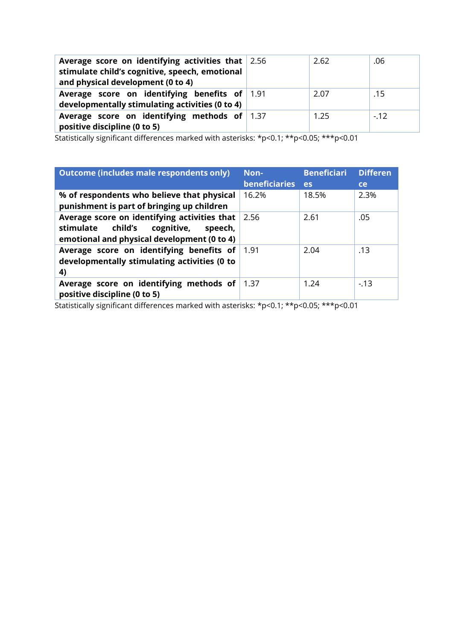| Average score on identifying activities that $ 2.56 $<br>stimulate child's cognitive, speech, emotional<br>and physical development (0 to 4) | 2.62 | .06   |
|----------------------------------------------------------------------------------------------------------------------------------------------|------|-------|
| Average score on identifying benefits of 1.91<br>developmentally stimulating activities (0 to 4)                                             | 2.07 | .15   |
| Average score on identifying methods of 1.37<br>positive discipline (0 to 5)                                                                 | 1.25 | $-12$ |

Statistically significant differences marked with asterisks: \*p<0.1; \*\*p<0.05; \*\*\*p<0.01

| Outcome (includes male respondents only)                                                                                                     | Non-<br><b>beneficiaries</b> | <b>Beneficiari</b><br><b>es</b> | <b>Differen</b><br><b>ce</b> |
|----------------------------------------------------------------------------------------------------------------------------------------------|------------------------------|---------------------------------|------------------------------|
| % of respondents who believe that physical<br>punishment is part of bringing up children                                                     | 16.2%                        | 18.5%                           | 2.3%                         |
| Average score on identifying activities that<br>child's<br>stimulate<br>cognitive,<br>speech,<br>emotional and physical development (0 to 4) | 2.56                         | 2.61                            | .05                          |
| Average score on identifying benefits of<br>developmentally stimulating activities (0 to<br>4)                                               | 1.91                         | 2.04                            | .13                          |
| Average score on identifying methods of<br>positive discipline (0 to 5)                                                                      | 1.37                         | 1.24                            | $-13$                        |

Statistically significant differences marked with asterisks: \*p<0.1; \*\*p<0.05; \*\*\*p<0.01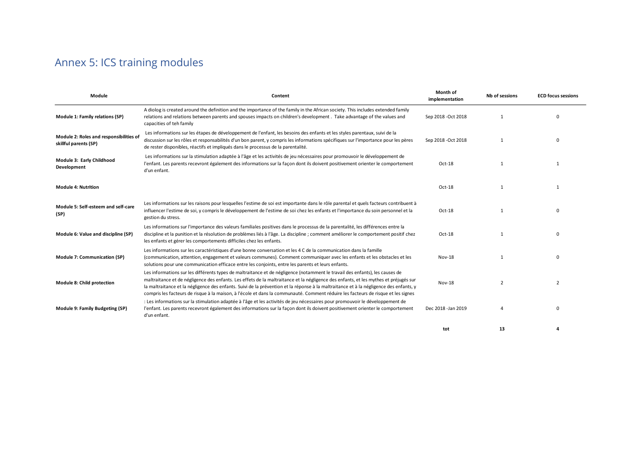## Annex 5: ICS training modules

| Module                                                           | Content                                                                                                                                                                                                                                                                                                                                                                                                                                                                                                                                             | Month of<br>implementation | Nb of sessions | <b>ECD focus sessions</b> |
|------------------------------------------------------------------|-----------------------------------------------------------------------------------------------------------------------------------------------------------------------------------------------------------------------------------------------------------------------------------------------------------------------------------------------------------------------------------------------------------------------------------------------------------------------------------------------------------------------------------------------------|----------------------------|----------------|---------------------------|
| Module 1: Family relations (SP)                                  | A diolog is created around the definition and the importance of the family in the African society. This includes extended family<br>relations and relations between parents and spouses impacts on children's development. Take advantage of the values and<br>capacities of teh family                                                                                                                                                                                                                                                             | Sep 2018 - Oct 2018        |                | $\Omega$                  |
| Module 2: Roles and responsibilities of<br>skillful parents (SP) | Les informations sur les étapes de développement de l'enfant, les besoins des enfants et les styles parentaux, suivi de la<br>discussion sur les rôles et responsabilités d'un bon parent, y compris les informations spécifiques sur l'importance pour les pères<br>de rester disponibles, réactifs et impliqués dans le processus de la parentalité.                                                                                                                                                                                              | Sep 2018 - Oct 2018        |                | <sup>0</sup>              |
| Module 3: Early Childhood<br>Development                         | Les informations sur la stimulation adaptée à l'âge et les activités de jeu nécessaires pour promouvoir le développement de<br>l'enfant. Les parents recevront également des informations sur la façon dont ils doivent positivement orienter le comportement<br>d'un enfant.                                                                                                                                                                                                                                                                       | Oct-18                     | $\mathbf{1}$   | $\overline{1}$            |
| <b>Module 4: Nutrition</b>                                       |                                                                                                                                                                                                                                                                                                                                                                                                                                                                                                                                                     | Oct-18                     |                |                           |
| Module 5: Self-esteem and self-care<br>(SP)                      | Les informations sur les raisons pour lesquelles l'estime de soi est importante dans le rôle parental et quels facteurs contribuent à<br>influencer l'estime de soi, y compris le développement de l'estime de soi chez les enfants et l'importance du soin personnel et la<br>gestion du stress.                                                                                                                                                                                                                                                   | Oct-18                     | $\mathbf{1}$   | $\Omega$                  |
| Module 6: Value and discipline (SP)                              | Les informations sur l'importance des valeurs familiales positives dans le processus de la parentalité, les différences entre la<br>discipline et la punition et la résolution de problèmes liés à l'âge. La discipline ; comment améliorer le comportement positif chez<br>les enfants et gérer les comportements difficiles chez les enfants.                                                                                                                                                                                                     | Oct-18                     |                | $\Omega$                  |
| <b>Module 7: Communication (SP)</b>                              | Les informations sur les caractéristiques d'une bonne conversation et les 4 C de la communication dans la famille<br>(communication, attention, engagement et valeurs communes). Comment communiquer avec les enfants et les obstacles et les<br>solutions pour une communication efficace entre les conjoints, entre les parents et leurs enfants.                                                                                                                                                                                                 | <b>Nov-18</b>              | $\mathbf{1}$   | $\Omega$                  |
| Module 8: Child protection                                       | Les informations sur les différents types de maltraitance et de négligence (notamment le travail des enfants), les causes de<br>maltraitance et de négligence des enfants. Les effets de la maltraitance et la négligence des enfants, et les mythes et préjugés sur<br>la maltraitance et la négligence des enfants. Suivi de la prévention et la réponse à la maltraitance et à la négligence des enfants, y<br>compris les facteurs de risque à la maison, à l'école et dans la communauté. Comment réduire les facteurs de risque et les signes | <b>Nov-18</b>              | $\overline{2}$ | $\overline{2}$            |
| Module 9: Family Budgeting (SP)                                  | : Les informations sur la stimulation adaptée à l'âge et les activités de jeu nécessaires pour promouvoir le développement de<br>l'enfant. Les parents recevront également des informations sur la façon dont ils doivent positivement orienter le comportement<br>d'un enfant.                                                                                                                                                                                                                                                                     | Dec 2018 - Jan 2019        |                | $\Omega$                  |
|                                                                  |                                                                                                                                                                                                                                                                                                                                                                                                                                                                                                                                                     | tot                        | 13             |                           |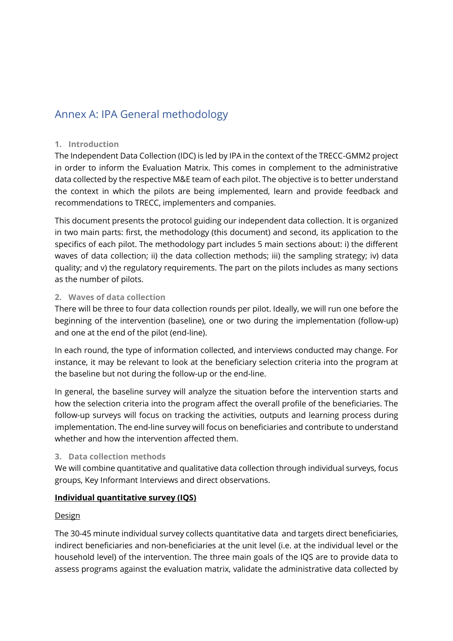### Annex A: IPA General methodology

#### **1. Introduction**

The Independent Data Collection (IDC) is led by IPA in the context of the TRECC-GMM2 project in order to inform the Evaluation Matrix. This comes in complement to the administrative data collected by the respective M&E team of each pilot. The objective is to better understand the context in which the pilots are being implemented, learn and provide feedback and recommendations to TRECC, implementers and companies.

This document presents the protocol guiding our independent data collection. It is organized in two main parts: first, the methodology (this document) and second, its application to the specifics of each pilot. The methodology part includes 5 main sections about: i) the different waves of data collection; ii) the data collection methods; iii) the sampling strategy; iv) data quality; and v) the regulatory requirements. The part on the pilots includes as many sections as the number of pilots.

#### **2. Waves of data collection**

There will be three to four data collection rounds per pilot. Ideally, we will run one before the beginning of the intervention (baseline), one or two during the implementation (follow-up) and one at the end of the pilot (end-line).

In each round, the type of information collected, and interviews conducted may change. For instance, it may be relevant to look at the beneficiary selection criteria into the program at the baseline but not during the follow-up or the end-line.

In general, the baseline survey will analyze the situation before the intervention starts and how the selection criteria into the program affect the overall profile of the beneficiaries. The follow-up surveys will focus on tracking the activities, outputs and learning process during implementation. The end-line survey will focus on beneficiaries and contribute to understand whether and how the intervention affected them.

### **3. Data collection methods**

We will combine quantitative and qualitative data collection through individual surveys, focus groups, Key Informant Interviews and direct observations.

### **Individual quantitative survey (IQS)**

### Design

The 30-45 minute individual survey collects quantitative data and targets direct beneficiaries, indirect beneficiaries and non-beneficiaries at the unit level (i.e. at the individual level or the household level) of the intervention. The three main goals of the IQS are to provide data to assess programs against the evaluation matrix, validate the administrative data collected by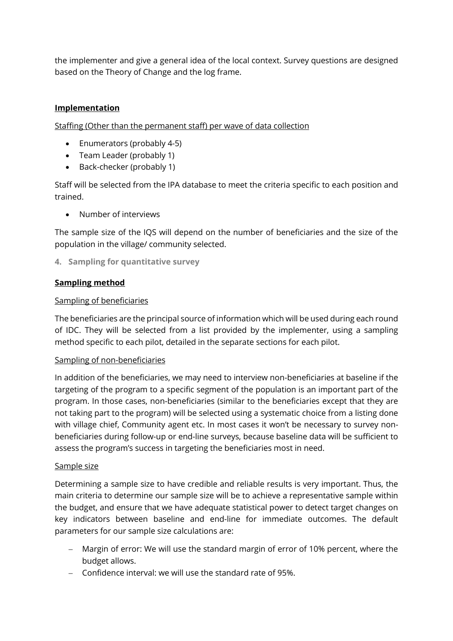the implementer and give a general idea of the local context. Survey questions are designed based on the Theory of Change and the log frame.

### **Implementation**

Staffing (Other than the permanent staff) per wave of data collection

- Enumerators (probably 4-5)
- Team Leader (probably 1)
- Back-checker (probably 1)

Staff will be selected from the IPA database to meet the criteria specific to each position and trained.

• Number of interviews

The sample size of the IQS will depend on the number of beneficiaries and the size of the population in the village/ community selected.

**4. Sampling for quantitative survey**

### **Sampling method**

### Sampling of beneficiaries

The beneficiaries are the principal source of information which will be used during each round of IDC. They will be selected from a list provided by the implementer, using a sampling method specific to each pilot, detailed in the separate sections for each pilot.

### Sampling of non-beneficiaries

In addition of the beneficiaries, we may need to interview non-beneficiaries at baseline if the targeting of the program to a specific segment of the population is an important part of the program. In those cases, non-beneficiaries (similar to the beneficiaries except that they are not taking part to the program) will be selected using a systematic choice from a listing done with village chief, Community agent etc. In most cases it won't be necessary to survey nonbeneficiaries during follow-up or end-line surveys, because baseline data will be sufficient to assess the program's success in targeting the beneficiaries most in need.

### Sample size

Determining a sample size to have credible and reliable results is very important. Thus, the main criteria to determine our sample size will be to achieve a representative sample within the budget, and ensure that we have adequate statistical power to detect target changes on key indicators between baseline and end-line for immediate outcomes. The default parameters for our sample size calculations are:

- − Margin of error: We will use the standard margin of error of 10% percent, where the budget allows.
- − Confidence interval: we will use the standard rate of 95%.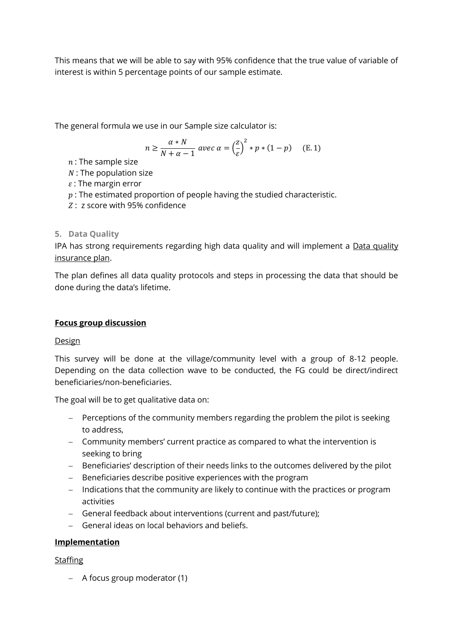This means that we will be able to say with 95% confidence that the true value of variable of interest is within 5 percentage points of our sample estimate.

The general formula we use in our Sample size calculator is:

$$
n \ge \frac{\alpha * N}{N + \alpha - 1} \text{ avec } \alpha = \left(\frac{z}{\varepsilon}\right)^2 * p * (1 - p) \quad \text{(E. 1)}
$$

- $n$ : The sample size
- $N$ : The population size
- $\varepsilon$ : The margin error
- $p:$  The estimated proportion of people having the studied characteristic.
- $Z: z$  score with 95% confidence

### **5. Data Quality**

IPA has strong requirements regarding high data quality and will implement a Data quality insurance plan.

The plan defines all data quality protocols and steps in processing the data that should be done during the data's lifetime.

### **Focus group discussion**

### Design

This survey will be done at the village/community level with a group of 8-12 people. Depending on the data collection wave to be conducted, the FG could be direct/indirect beneficiaries/non-beneficiaries.

The goal will be to get qualitative data on:

- − Perceptions of the community members regarding the problem the pilot is seeking to address,
- − Community members' current practice as compared to what the intervention is seeking to bring
- − Beneficiaries' description of their needs links to the outcomes delivered by the pilot
- − Beneficiaries describe positive experiences with the program
- − Indications that the community are likely to continue with the practices or program activities
- − General feedback about interventions (current and past/future);
- − General ideas on local behaviors and beliefs.

### **Implementation**

### Staffing

− A focus group moderator (1)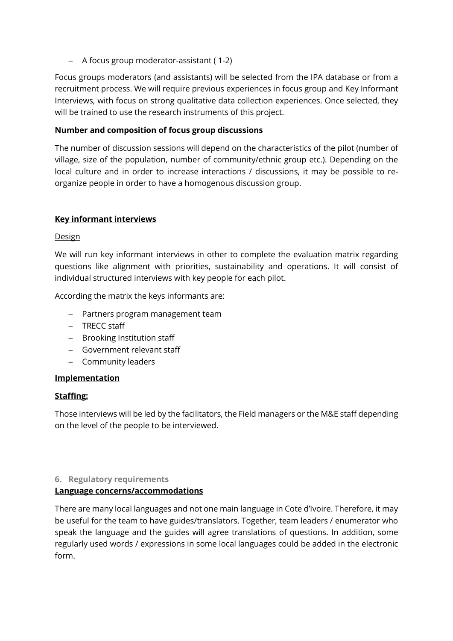− A focus group moderator-assistant ( 1-2)

Focus groups moderators (and assistants) will be selected from the IPA database or from a recruitment process. We will require previous experiences in focus group and Key Informant Interviews, with focus on strong qualitative data collection experiences. Once selected, they will be trained to use the research instruments of this project.

#### **Number and composition of focus group discussions**

The number of discussion sessions will depend on the characteristics of the pilot (number of village, size of the population, number of community/ethnic group etc.). Depending on the local culture and in order to increase interactions / discussions, it may be possible to reorganize people in order to have a homogenous discussion group.

### **Key informant interviews**

#### **Design**

We will run key informant interviews in other to complete the evaluation matrix regarding questions like alignment with priorities, sustainability and operations. It will consist of individual structured interviews with key people for each pilot.

According the matrix the keys informants are:

- − Partners program management team
- − TRECC staff
- − Brooking Institution staff
- − Government relevant staff
- − Community leaders

#### **Implementation**

#### **Staffing:**

Those interviews will be led by the facilitators, the Field managers or the M&E staff depending on the level of the people to be interviewed.

#### **6. Regulatory requirements**

#### **Language concerns/accommodations**

There are many local languages and not one main language in Cote d'Ivoire. Therefore, it may be useful for the team to have guides/translators. Together, team leaders / enumerator who speak the language and the guides will agree translations of questions. In addition, some regularly used words / expressions in some local languages could be added in the electronic form.